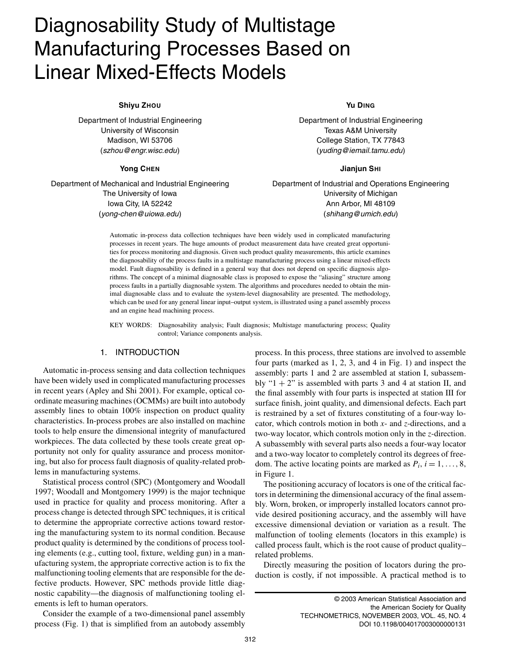# Diagnosability Study of Multistage Manufacturing Processes Based on Linear Mixed-Effects Models

## **Shiyu ZHOU**

Department of Industrial Engineering University of Wisconsin Madison, WI 53706 (szhou@engr.wisc.edu)

#### **Yong CHEN**

Department of Mechanical and Industrial Engineering The University of Iowa Iowa City, IA 52242 (yong-chen@uiowa.edu)

## **Yu DING**

Department of Industrial Engineering Texas A&M University College Station, TX 77843 (yuding@iemail.tamu.edu)

### **Jianjun SHI**

Department of Industrial and Operations Engineering University of Michigan Ann Arbor, MI 48109 (shihang@umich.edu)

Automatic in-process data collection techniques have been widely used in complicated manufacturing processes in recent years. The huge amounts of product measurement data have created great opportunities for process monitoring and diagnosis. Given such product quality measurements, this article examines the diagnosability of the process faults in a multistage manufacturing process using a linear mixed-effects model. Fault diagnosability is defined in a general way that does not depend on specific diagnosis algorithms. The concept of a minimal diagnosable class is proposed to expose the "aliasing" structure among process faults in a partially diagnosable system. The algorithms and procedures needed to obtain the minimal diagnosable class and to evaluate the system-level diagnosability are presented. The methodology, which can be used for any general linear input–output system, is illustrated using a panel assembly process and an engine head machining process.

KEY WORDS: Diagnosability analysis; Fault diagnosis; Multistage manufacturing process; Quality control; Variance components analysis.

# 1. INTRODUCTION

Automatic in-process sensing and data collection techniques have been widely used in complicated manufacturing processes in recent years (Apley and Shi 2001). For example, optical coordinate measuring machines (OCMMs) are built into autobody assembly lines to obtain 100% inspection on product quality characteristics. In-process probes are also installed on machine tools to help ensure the dimensional integrity of manufactured workpieces. The data collected by these tools create great opportunity not only for quality assurance and process monitoring, but also for process fault diagnosis of quality-related problems in manufacturing systems.

Statistical process control (SPC) (Montgomery and Woodall 1997; Woodall and Montgomery 1999) is the major technique used in practice for quality and process monitoring. After a process change is detected through SPC techniques, it is critical to determine the appropriate corrective actions toward restoring the manufacturing system to its normal condition. Because product quality is determined by the conditions of process tooling elements (e.g., cutting tool, fixture, welding gun) in a manufacturing system, the appropriate corrective action is to fix the malfunctioning tooling elements that are responsible for the defective products. However, SPC methods provide little diagnostic capability—the diagnosis of malfunctioning tooling elements is left to human operators.

Consider the example of a two-dimensional panel assembly process (Fig. 1) that is simplified from an autobody assembly

process. In this process, three stations are involved to assemble four parts (marked as 1, 2, 3, and 4 in Fig. 1) and inspect the assembly: parts 1 and 2 are assembled at station I, subassembly " $1 + 2$ " is assembled with parts 3 and 4 at station II, and the final assembly with four parts is inspected at station III for surface finish, joint quality, and dimensional defects. Each part is restrained by a set of fixtures constituting of a four-way locator, which controls motion in both *x*- and *z*-directions, and a two-way locator, which controls motion only in the *z*-direction. A subassembly with several parts also needs a four-way locator and a two-way locator to completely control its degrees of freedom. The active locating points are marked as  $P_i$ ,  $i = 1, \ldots, 8$ , in Figure 1.

The positioning accuracy of locators is one of the critical factors in determining the dimensional accuracy of the final assembly. Worn, broken, or improperly installed locators cannot provide desired positioning accuracy, and the assembly will have excessive dimensional deviation or variation as a result. The malfunction of tooling elements (locators in this example) is called process fault, which is the root cause of product quality– related problems.

Directly measuring the position of locators during the production is costly, if not impossible. A practical method is to

<sup>© 2003</sup> American Statistical Association and the American Society for Quality TECHNOMETRICS, NOVEMBER 2003, VOL. 45, NO. 4 DOI 10.1198/004017003000000131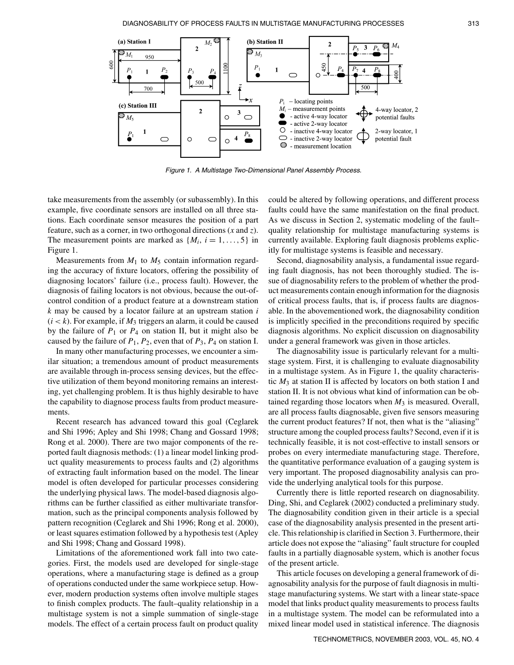

Figure 1. A Multistage Two-Dimensional Panel Assembly Process.

take measurements from the assembly (or subassembly). In this example, five coordinate sensors are installed on all three stations. Each coordinate sensor measures the position of a part feature, such as a corner, in two orthogonal directions (*x* and *z*). The measurement points are marked as  $\{M_i, i = 1, \ldots, 5\}$  in Figure 1.

Measurements from *M*<sup>1</sup> to *M*<sup>5</sup> contain information regarding the accuracy of fixture locators, offering the possibility of diagnosing locators' failure (i.e., process fault). However, the diagnosis of failing locators is not obvious, because the out-ofcontrol condition of a product feature at a downstream station *k* may be caused by a locator failure at an upstream station *i*  $(i < k)$ . For example, if  $M_3$  triggers an alarm, it could be caused by the failure of  $P_1$  or  $P_4$  on station II, but it might also be caused by the failure of  $P_1$ ,  $P_2$ , even that of  $P_3$ ,  $P_4$  on station I.

In many other manufacturing processes, we encounter a similar situation; a tremendous amount of product measurements are available through in-process sensing devices, but the effective utilization of them beyond monitoring remains an interesting, yet challenging problem. It is thus highly desirable to have the capability to diagnose process faults from product measurements.

Recent research has advanced toward this goal (Ceglarek and Shi 1996; Apley and Shi 1998; Chang and Gossard 1998; Rong et al. 2000). There are two major components of the reported fault diagnosis methods: (1) a linear model linking product quality measurements to process faults and (2) algorithms of extracting fault information based on the model. The linear model is often developed for particular processes considering the underlying physical laws. The model-based diagnosis algorithms can be further classified as either multivariate transformation, such as the principal components analysis followed by pattern recognition (Ceglarek and Shi 1996; Rong et al. 2000), or least squares estimation followed by a hypothesis test (Apley and Shi 1998; Chang and Gossard 1998).

Limitations of the aforementioned work fall into two categories. First, the models used are developed for single-stage operations, where a manufacturing stage is defined as a group of operations conducted under the same workpiece setup. However, modern production systems often involve multiple stages to finish complex products. The fault–quality relationship in a multistage system is not a simple summation of single-stage models. The effect of a certain process fault on product quality

could be altered by following operations, and different process faults could have the same manifestation on the final product. As we discuss in Section 2, systematic modeling of the fault– quality relationship for multistage manufacturing systems is currently available. Exploring fault diagnosis problems explicitly for multistage systems is feasible and necessary.

Second, diagnosability analysis, a fundamental issue regarding fault diagnosis, has not been thoroughly studied. The issue of diagnosability refers to the problem of whether the product measurements contain enough information for the diagnosis of critical process faults, that is, if process faults are diagnosable. In the abovementioned work, the diagnosability condition is implicitly specified in the preconditions required by specific diagnosis algorithms. No explicit discussion on diagnosability under a general framework was given in those articles.

The diagnosability issue is particularly relevant for a multistage system. First, it is challenging to evaluate diagnosability in a multistage system. As in Figure 1, the quality characteristic  $M_3$  at station II is affected by locators on both station I and station II. It is not obvious what kind of information can be obtained regarding those locators when *M*<sup>3</sup> is measured. Overall, are all process faults diagnosable, given five sensors measuring the current product features? If not, then what is the "aliasing" structure among the coupled process faults? Second, even if it is technically feasible, it is not cost-effective to install sensors or probes on every intermediate manufacturing stage. Therefore, the quantitative performance evaluation of a gauging system is very important. The proposed diagnosability analysis can provide the underlying analytical tools for this purpose.

Currently there is little reported research on diagnosability. Ding, Shi, and Ceglarek (2002) conducted a preliminary study. The diagnosability condition given in their article is a special case of the diagnosability analysis presented in the present article. This relationship is clarified in Section 3. Furthermore, their article does not expose the "aliasing" fault structure for coupled faults in a partially diagnosable system, which is another focus of the present article.

This article focuses on developing a general framework of diagnosability analysis for the purpose of fault diagnosis in multistage manufacturing systems. We start with a linear state-space model that links product quality measurements to process faults in a multistage system. The model can be reformulated into a mixed linear model used in statistical inference. The diagnosis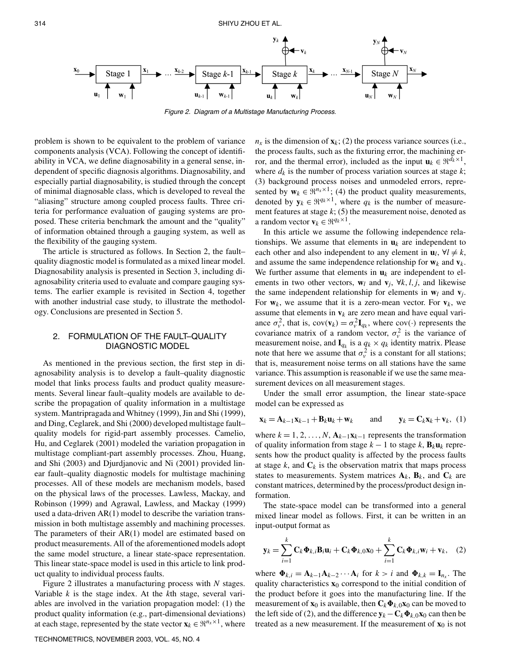

Figure 2. Diagram of <sup>a</sup> Multistage Manufacturing Process.

problem is shown to be equivalent to the problem of variance components analysis (VCA). Following the concept of identifiability in VCA, we define diagnosability in a general sense, independent of specific diagnosis algorithms. Diagnosability, and especially partial diagnosability, is studied through the concept of minimal diagnosable class, which is developed to reveal the "aliasing" structure among coupled process faults. Three criteria for performance evaluation of gauging systems are proposed. These criteria benchmark the amount and the "quality" of information obtained through a gauging system, as well as the flexibility of the gauging system.

The article is structured as follows. In Section 2, the fault– quality diagnostic model is formulated as a mixed linear model. Diagnosability analysis is presented in Section 3, including diagnosability criteria used to evaluate and compare gauging systems. The earlier example is revisited in Section 4, together with another industrial case study, to illustrate the methodology. Conclusions are presented in Section 5.

# 2. FORMULATION OF THE FAULT–QUALITY DIAGNOSTIC MODEL

As mentioned in the previous section, the first step in diagnosability analysis is to develop a fault–quality diagnostic model that links process faults and product quality measurements. Several linear fault–quality models are available to describe the propagation of quality information in a multistage system. Mantripragada and Whitney (1999), Jin and Shi (1999), and Ding, Ceglarek, and Shi (2000) developed multistage fault– quality models for rigid-part assembly processes. Camelio, Hu, and Ceglarek (2001) modeled the variation propagation in multistage compliant-part assembly processes. Zhou, Huang, and Shi (2003) and Djurdjanovic and Ni (2001) provided linear fault–quality diagnostic models for multistage machining processes. All of these models are mechanism models, based on the physical laws of the processes. Lawless, Mackay, and Robinson (1999) and Agrawal, Lawless, and Mackay (1999) used a data-driven AR(1) model to describe the variation transmission in both multistage assembly and machining processes. The parameters of their AR(1) model are estimated based on product measurements. All of the aforementioned models adopt the same model structure, a linear state-space representation. This linear state-space model is used in this article to link product quality to individual process faults.

Figure 2 illustrates a manufacturing process with *N* stages. Variable *k* is the stage index. At the *k*th stage, several variables are involved in the variation propagation model: (1) the product quality information (e.g., part-dimensional deviations) at each stage, represented by the state vector  $\mathbf{x}_k \in \mathbb{R}^{n_x \times 1}$ , where

 $n_x$  is the dimension of  $\mathbf{x}_k$ ; (2) the process variance sources (i.e., the process faults, such as the fixturing error, the machining error, and the thermal error), included as the input  $\mathbf{u}_k \in \mathbb{R}^{d_k \times 1}$ , where  $d_k$  is the number of process variation sources at stage  $k$ ; (3) background process noises and unmodeled errors, represented by  $\mathbf{w}_k \in \mathbb{R}^{n_x \times 1}$ ; (4) the product quality measurements, denoted by  $\mathbf{y}_k \in \Re^{q_k \times 1}$ , where  $q_k$  is the number of measurement features at stage *k*; (5) the measurement noise, denoted as a random vector  $\mathbf{v}_k \in \mathbb{R}^{q_k \times 1}$ .

In this article we assume the following independence relationships. We assume that elements in  $\mathbf{u}_k$  are independent to each other and also independent to any element in  $\mathbf{u}_l$ ,  $\forall l \neq k$ , and assume the same independence relationship for  $w_k$  and  $v_k$ . We further assume that elements in  $\mathbf{u}_k$  are independent to elements in two other vectors,  $\mathbf{w}_l$  and  $\mathbf{v}_j$ ,  $\forall k, l, j$ , and likewise the same independent relationship for elements in  $w_l$  and  $v_j$ . For  $w_k$ , we assume that it is a zero-mean vector. For  $v_k$ , we assume that elements in  $v_k$  are zero mean and have equal variance  $\sigma_v^2$ , that is,  $cov(\mathbf{v}_k) = \sigma_v^2 \mathbf{I}_{q_k}$ , where  $cov(\cdot)$  represents the covariance matrix of a random vector,  $\sigma_v^2$  is the variance of measurement noise, and  $\mathbf{I}_{q_k}$  is a  $q_k \times q_k$  identity matrix. Please note that here we assume that  $\sigma_v^2$  is a constant for all stations; that is, measurement noise terms on all stations have the same variance. This assumption is reasonable if we use the same measurement devices on all measurement stages.

Under the small error assumption, the linear state-space model can be expressed as

$$
\mathbf{x}_{k} = \mathbf{A}_{k-1}\mathbf{x}_{k-1} + \mathbf{B}_{k}\mathbf{u}_{k} + \mathbf{w}_{k} \quad \text{and} \quad \mathbf{y}_{k} = \mathbf{C}_{k}\mathbf{x}_{k} + \mathbf{v}_{k}, \tag{1}
$$

where  $k = 1, 2, ..., N$ ,  $A_{k-1}$ **x**<sub>*k*−1</sub> represents the transformation of quality information from stage  $k - 1$  to stage  $k$ ,  $\mathbf{B}_k \mathbf{u}_k$  represents how the product quality is affected by the process faults at stage  $k$ , and  $C_k$  is the observation matrix that maps process states to measurements. System matrices  $A_k$ ,  $B_k$ , and  $C_k$  are constant matrices, determined by the process/product design information.

The state-space model can be transformed into a general mixed linear model as follows. First, it can be written in an input-output format as

$$
\mathbf{y}_k = \sum_{i=1}^k \mathbf{C}_k \mathbf{\Phi}_{k,i} \mathbf{B}_i \mathbf{u}_i + \mathbf{C}_k \mathbf{\Phi}_{k,0} \mathbf{x}_0 + \sum_{i=1}^k \mathbf{C}_k \mathbf{\Phi}_{k,i} \mathbf{w}_i + \mathbf{v}_k, \quad (2)
$$

where  $\Phi_{k,i} = \mathbf{A}_{k-1}\mathbf{A}_{k-2}\cdots\mathbf{A}_i$  for  $k > i$  and  $\Phi_{k,k} = \mathbf{I}_{n_x}$ . The quality characteristics **x**<sup>0</sup> correspond to the initial condition of the product before it goes into the manufacturing line. If the measurement of  $\mathbf{x}_0$  is available, then  $\mathbf{C}_k \mathbf{\Phi}_{k,0} \mathbf{x}_0$  can be moved to the left side of (2), and the difference  $\mathbf{y}_k - \mathbf{C}_k \mathbf{\Phi}_{k,0} \mathbf{x}_0$  can then be treated as a new measurement. If the measurement of  $\mathbf{x}_0$  is not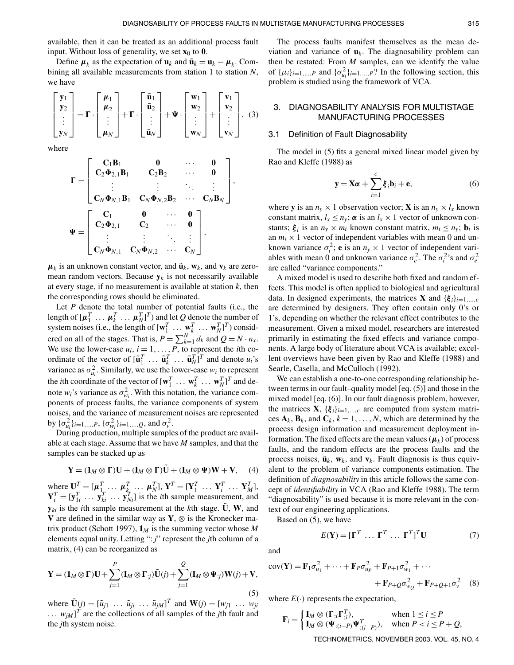available, then it can be treated as an additional process fault input. Without loss of generality, we set  $\mathbf{x}_0$  to  $\mathbf{0}$ .

Define  $\mu_k$  as the expectation of  $\mathbf{u}_k$  and  $\tilde{\mathbf{u}}_k = \mathbf{u}_k - \mu_k$ . Combining all available measurements from station 1 to station *N*, we have

$$
\begin{bmatrix} \mathbf{y}_1 \\ \mathbf{y}_2 \\ \vdots \\ \mathbf{y}_N \end{bmatrix} = \mathbf{\Gamma} \cdot \begin{bmatrix} \boldsymbol{\mu}_1 \\ \boldsymbol{\mu}_2 \\ \vdots \\ \boldsymbol{\mu}_N \end{bmatrix} + \mathbf{\Gamma} \cdot \begin{bmatrix} \tilde{\mathbf{u}}_1 \\ \tilde{\mathbf{u}}_2 \\ \vdots \\ \tilde{\mathbf{u}}_N \end{bmatrix} + \boldsymbol{\Psi} \cdot \begin{bmatrix} \mathbf{w}_1 \\ \mathbf{w}_2 \\ \vdots \\ \mathbf{w}_N \end{bmatrix} + \begin{bmatrix} \mathbf{v}_1 \\ \mathbf{v}_2 \\ \vdots \\ \mathbf{v}_N \end{bmatrix}, \quad (3)
$$

where

$$
\mathbf{\Gamma} = \begin{bmatrix} \mathbf{C}_1 \mathbf{B}_1 & \mathbf{0} & \cdots & \mathbf{0} \\ \mathbf{C}_2 \Phi_{2,1} \mathbf{B}_1 & \mathbf{C}_2 \mathbf{B}_2 & \cdots & \mathbf{0} \\ \vdots & \vdots & \ddots & \vdots \\ \mathbf{C}_N \Phi_{N,1} \mathbf{B}_1 & \mathbf{C}_N \Phi_{N,2} \mathbf{B}_2 & \cdots & \mathbf{C}_N \mathbf{B}_N \end{bmatrix},
$$

$$
\Psi = \begin{bmatrix} \mathbf{C}_1 & \mathbf{0} & \cdots & \mathbf{0} \\ \mathbf{C}_2 \Phi_{2,1} & \mathbf{C}_2 & \cdots & \mathbf{0} \\ \vdots & \vdots & \ddots & \vdots \\ \mathbf{C}_N \Phi_{N,1} & \mathbf{C}_N \Phi_{N,2} & \cdots & \mathbf{C}_N \end{bmatrix},
$$

 $\mu_k$  is an unknown constant vector, and  $\tilde{\mathbf{u}}_k$ ,  $\mathbf{w}_k$ , and  $\mathbf{v}_k$  are zeromean random vectors. Because  $y_k$  is not necessarily available at every stage, if no measurement is available at station *k*, then the corresponding rows should be eliminated.

Let *P* denote the total number of potential faults (i.e., the length of  $[\mu_1^T \dots \mu_k^T \dots \mu_N^T]^T$  and let Q denote the number of system noises (i.e., the length of  $[\mathbf{w}_1^T \dots \mathbf{w}_k^T \dots \mathbf{w}_N^T]^T$ ) considered on all of the stages. That is,  $P = \sum_{k=1}^{N} d_k$  and  $Q = N \cdot n_x$ . We use the lower-case  $u_i$ ,  $i = 1, ..., P$ , to represent the *i*th coordinate of the vector of  $[\tilde{\mathbf{u}}_1^T \dots \tilde{\mathbf{u}}_k^T \dots \tilde{\mathbf{u}}_N^T]^T$  and denote  $u_i$ 's variance as  $\sigma_{u_i}^2$ . Similarly, we use the lower-case  $w_i$  to represent the *i*th coordinate of the vector of  $[\mathbf{w}_1^T \dots \mathbf{w}_k^T \dots \mathbf{w}_N^T]^T$  and denote  $w_i$ 's variance as  $\sigma_{w_i}^2$ . With this notation, the variance components of process faults, the variance components of system noises, and the variance of measurement noises are represented by  ${\{\sigma_{u_i}^2\}_{i=1,\dots,P}}$ ,  ${\{\sigma_{w_i}^2\}_{i=1,\dots,Q}}$ , and  ${\sigma_v^2}$ .

During production, multiple samples of the product are available at each stage. Assume that we have *M* samples, and that the samples can be stacked up as

$$
\mathbf{Y} = (\mathbf{1}_M \otimes \mathbf{\Gamma})\mathbf{U} + (\mathbf{I}_M \otimes \mathbf{\Gamma})\tilde{\mathbf{U}} + (\mathbf{I}_M \otimes \mathbf{\Psi})\mathbf{W} + \mathbf{V}, \quad (4)
$$

where  $\mathbf{U}_T^T = [\mu_{1_T}^T \dots \mu_{k_T}^T \dots \mu_{N}^T], \mathbf{Y}^T = [\mathbf{Y}_1^T \dots \mathbf{Y}_i^T \dots \mathbf{Y}_M^T],$  $\mathbf{Y}_i^T = [\mathbf{y}_{1i}^T \dots \mathbf{y}_{ki}^T \dots \mathbf{y}_{Ni}^T]$  is the *i*th sample measurement, and  $y_{ki}$  is the *i*th sample measurement at the *k*th stage.  $\ddot{\mathbf{U}}$ , **W**, and **V** are defined in the similar way as **Y**, ⊗ is the Kronecker matrix product (Schott 1997),  $\mathbf{1}_M$  is the summing vector whose M elements equal unity. Letting ": *j*" represent the *j*th column of a matrix, (4) can be reorganized as

$$
\mathbf{Y} = (\mathbf{1}_M \otimes \mathbf{\Gamma})\mathbf{U} + \sum_{j=1}^P (\mathbf{I}_M \otimes \mathbf{\Gamma}_{ij})\tilde{\mathbf{U}}(j) + \sum_{j=1}^Q (\mathbf{I}_M \otimes \mathbf{\Psi}_{ij})\mathbf{W}(j) + \mathbf{V},
$$
\n(5)

where  $\tilde{\mathbf{U}}(j) = [\tilde{u}_{j1} \dots \tilde{u}_{ji} \dots \tilde{u}_{jM}]^T$  and  $\mathbf{W}(j) = [w_{j1} \dots w_{ji}]$  $\ldots$  *w<sub>jM</sub>*]<sup>*T*</sup> are the collections of all samples of the *j*th fault and the *j*th system noise.

The process faults manifest themselves as the mean deviation and variance of  $\mathbf{u}_k$ . The diagnosability problem can then be restated: From *M* samples, can we identify the value of  $\{\mu_i\}_{i=1,\dots,P}$  and  $\{\sigma_{u_i}^2\}_{i=1,\dots,P}$ ? In the following section, this problem is studied using the framework of VCA.

## 3. DIAGNOSABILITY ANALYSIS FOR MULTISTAGE MANUFACTURING PROCESSES

#### 3.1 Definition of Fault Diagnosability

The model in (5) fits a general mixed linear model given by Rao and Kleffe (1988) as

$$
\mathbf{y} = \mathbf{X}\boldsymbol{\alpha} + \sum_{i=1}^{c} \boldsymbol{\xi}_i \mathbf{b}_i + \mathbf{e},
$$
 (6)

where **y** is an  $n_v \times 1$  observation vector; **X** is an  $n_v \times l_x$  known constant matrix,  $l_x \leq n_y$ ;  $\alpha$  is an  $l_x \times 1$  vector of unknown constants;  $\xi_i$  is an  $n_v \times m_i$  known constant matrix,  $m_i \leq n_v$ ;  $\mathbf{b}_i$  is an  $m_i \times 1$  vector of independent variables with mean 0 and unknown variance  $\sigma_i^2$ ; **e** is an  $n_y \times 1$  vector of independent variables with mean 0 and unknown variance  $\sigma_e^2$ . The  $\sigma_i^2$ 's and  $\sigma_e^2$ are called "variance components."

A mixed model is used to describe both fixed and random effects. This model is often applied to biological and agricultural data. In designed experiments, the matrices **X** and  $\{\xi_i\}_{i=1,\dots,c}$ are determined by designers. They often contain only 0's or 1's, depending on whether the relevant effect contributes to the measurement. Given a mixed model, researchers are interested primarily in estimating the fixed effects and variance components. A large body of literature about VCA is available; excellent overviews have been given by Rao and Kleffe (1988) and Searle, Casella, and McCulloch (1992).

We can establish a one-to-one corresponding relationship between terms in our fault–quality model [eq. (5)] and those in the mixed model [eq. (6)]. In our fault diagnosis problem, however, the matrices **X**,  ${\xi_i}_{i=1,\dots,c}$  are computed from system matrices  $A_k$ ,  $B_k$ , and  $C_k$ ,  $k = 1, ..., N$ , which are determined by the process design information and measurement deployment information. The fixed effects are the mean values  $(\mu_k)$  of process faults, and the random effects are the process faults and the process noises,  $\tilde{\mathbf{u}}_k$ ,  $\mathbf{w}_k$ , and  $\mathbf{v}_k$ . Fault diagnosis is thus equivalent to the problem of variance components estimation. The definition of *diagnosability* in this article follows the same concept of *identifiability* in VCA (Rao and Kleffe 1988). The term "diagnosability" is used because it is more relevant in the context of our engineering applications.

Based on (5), we have

$$
E(\mathbf{Y}) = [\mathbf{\Gamma}^T \dots \mathbf{\Gamma}^T \dots \mathbf{\Gamma}^T]^T \mathbf{U} \tag{7}
$$

and

$$
cov(\mathbf{Y}) = \mathbf{F}_1 \sigma_{u_1}^2 + \dots + \mathbf{F}_P \sigma_{u_P}^2 + \mathbf{F}_{P+1} \sigma_{w_1}^2 + \dots
$$

$$
+ \mathbf{F}_{P+Q} \sigma_{w_Q}^2 + \mathbf{F}_{P+Q+1} \sigma_v^2 \quad (8)
$$

where  $E(\cdot)$  represents the expectation,

$$
\mathbf{F}_{i} = \begin{cases} \mathbf{I}_{M} \otimes (\mathbf{\Gamma}_{i} \mathbf{\Gamma}_{i}^{T}), & \text{when } 1 \leq i \leq P \\ \mathbf{I}_{M} \otimes (\mathbf{\Psi}_{:(i-P)} \mathbf{\Psi}_{:(i-P)}^{T}), & \text{when } P < i \leq P + Q, \end{cases}
$$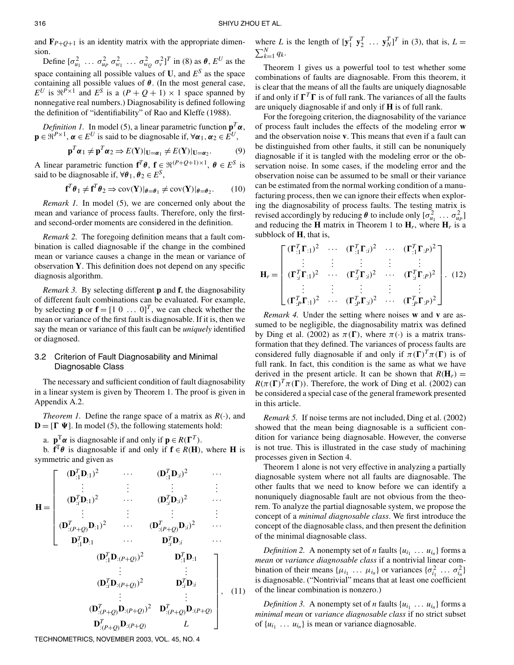and  $\mathbf{F}_{P+Q+1}$  is an identity matrix with the appropriate dimension.

Define  $[\sigma_{u_1}^2 \dots \sigma_{u_p}^2 \sigma_{w_1}^2 \dots \sigma_{w_Q}^2 \sigma_v^2]^T$  in (8) as  $\theta$ ,  $E^U$  as the space containing all possible values of  $U$ , and  $E^S$  as the space containing all possible values of  $\theta$ . (In the most general case,  $E^U$  is  $\mathbb{R}^{P \times 1}$  and  $E^S$  is a  $(P + Q + 1) \times 1$  space spanned by nonnegative real numbers.) Diagnosability is defined following the definition of "identifiability" of Rao and Kleffe (1988).

*Definition 1*. In model (5), a linear parametric function 
$$
\mathbf{p}^T \boldsymbol{\alpha}
$$
,  
 $\mathbf{p} \in \mathbb{R}^{P \times 1}$ ,  $\boldsymbol{\alpha} \in E^U$  is said to be diagonal to  $\mathbf{p}^T \mathbf{\alpha} \in E^U$ ,

$$
\mathbf{p}^T \boldsymbol{\alpha}_1 \neq \mathbf{p}^T \boldsymbol{\alpha}_2 \Rightarrow E(\mathbf{Y})|_{\mathbf{U} = \boldsymbol{\alpha}_1} \neq E(\mathbf{Y})|_{\mathbf{U} = \boldsymbol{\alpha}_2}.\tag{9}
$$

A linear parametric function  $f^T \theta$ ,  $f \in \mathbb{R}^{(P+Q+1)\times 1}$ ,  $\theta \in E^S$  is said to be diagnosable if,  $\forall \theta_1, \theta_2 \in E^S$ ,

$$
\mathbf{f}^T \boldsymbol{\theta}_1 \neq \mathbf{f}^T \boldsymbol{\theta}_2 \Rightarrow \text{cov}(\mathbf{Y})|_{\boldsymbol{\theta} = \boldsymbol{\theta}_1} \neq \text{cov}(\mathbf{Y})|_{\boldsymbol{\theta} = \boldsymbol{\theta}_2}.
$$
 (10)

*Remark 1.* In model (5), we are concerned only about the mean and variance of process faults. Therefore, only the firstand second-order moments are considered in the definition.

*Remark 2.* The foregoing definition means that a fault combination is called diagnosable if the change in the combined mean or variance causes a change in the mean or variance of observation **Y**. This definition does not depend on any specific diagnosis algorithm.

*Remark 3.* By selecting different **p** and **f**, the diagnosability of different fault combinations can be evaluated. For example, by selecting **p** or  $f = [1 \ 0 \ \dots \ 0]^T$ , we can check whether the mean or variance of the first fault is diagnosable. If it is, then we say the mean or variance of this fault can be *uniquely* identified or diagnosed.

## 3.2 Criterion of Fault Diagnosability and Minimal Diagnosable Class

The necessary and sufficient condition of fault diagnosability in a linear system is given by Theorem 1. The proof is given in Appendix A.2.

*Theorem 1.* Define the range space of a matrix as  $R(\cdot)$ , and  $\mathbf{D} = [\mathbf{\Gamma} \, \mathbf{\Psi}]$ . In model (5), the following statements hold:

a.  $\mathbf{p}^T\boldsymbol{\alpha}$  is diagnosable if and only if  $\mathbf{p} \in R(\Gamma^T)$ .

b. **f**<sup>T</sup> $\theta$  is diagnosable if and only if **f**  $\in$  *R*(**H**), where **H** is symmetric and given as

$$
\mathbf{H} = \begin{bmatrix}\n(\mathbf{D}_{:1}^T \mathbf{D}_{:1})^2 & \cdots & (\mathbf{D}_{:1}^T \mathbf{D}_{:i})^2 & \cdots \\
\vdots & \vdots & \vdots & \vdots \\
(\mathbf{D}_{:i}^T \mathbf{D}_{:1})^2 & \cdots & (\mathbf{D}_{:i}^T \mathbf{D}_{:i})^2 & \cdots \\
\vdots & \vdots & \vdots & \vdots & \vdots \\
(\mathbf{D}_{:(P+Q)}^T \mathbf{D}_{:1})^2 & \cdots & (\mathbf{D}_{:(P+Q)}^T \mathbf{D}_{:i})^2 & \cdots \\
\mathbf{D}_{:1}^T \mathbf{D}_{:1} & \cdots & \mathbf{D}_{:i}^T \mathbf{D}_{:i} & \cdots \\
(\mathbf{D}_{:1}^T \mathbf{D}_{:(P+Q)})^2 & \mathbf{D}_{:1}^T \mathbf{D}_{:1} & \cdots \\
\vdots & \vdots & \vdots & \vdots \\
(\mathbf{D}_{:i}^T \mathbf{D}_{:(P+Q)})^2 & \mathbf{D}_{:i}^T \mathbf{D}_{:i} & \cdots \\
\vdots & \vdots & \vdots & \vdots \\
(\mathbf{D}_{:(P+Q)}^T \mathbf{D}_{:(P+Q)})^2 & \mathbf{D}_{:(P+Q)}^T \mathbf{D}_{:(P+Q)} & \cdots \\
\mathbf{D}_{:(P+Q)}^T \mathbf{D}_{:(P+Q)} & \mathbf{L}\n\end{bmatrix}, (11)
$$

*,* (11)

where *L* is the length of  $[\mathbf{y}_1^T \ \mathbf{y}_2^T \ \dots \ \mathbf{y}_N^T]^T$  in (3), that is,  $L =$  $\sum_{k=1}^{N} q_k$ .

Theorem 1 gives us a powerful tool to test whether some combinations of faults are diagnosable. From this theorem, it is clear that the means of all the faults are uniquely diagnosable if and only if  $\Gamma^T \Gamma$  is of full rank. The variances of all the faults are uniquely diagnosable if and only if **H** is of full rank.

For the foregoing criterion, the diagnosability of the variance of process fault includes the effects of the modeling error **w** and the observation noise **v**. This means that even if a fault can be distinguished from other faults, it still can be nonuniquely diagnosable if it is tangled with the modeling error or the observation noise. In some cases, if the modeling error and the observation noise can be assumed to be small or their variance can be estimated from the normal working condition of a manufacturing process, then we can ignore their effects when exploring the diagnosability of process faults. The testing matrix is revised accordingly by reducing  $\theta$  to include only  $[\sigma_{u_1}^2 \dots \sigma_{u_p}^2]$ and reducing the **H** matrix in Theorem 1 to  $H_r$ , where  $H_r$  is a subblock of **H**, that is,

$$
\mathbf{H}_{r} = \begin{bmatrix} (\mathbf{\Gamma}_{:1}^{T} \mathbf{\Gamma}_{:1})^{2} & \cdots & (\mathbf{\Gamma}_{:1}^{T} \mathbf{\Gamma}_{:i})^{2} & \cdots & (\mathbf{\Gamma}_{:1}^{T} \mathbf{\Gamma}_{:P})^{2} \\ \vdots & \vdots & \vdots & \vdots & \vdots \\ (\mathbf{\Gamma}_{:i}^{T} \mathbf{\Gamma}_{:1})^{2} & \cdots & (\mathbf{\Gamma}_{:i}^{T} \mathbf{\Gamma}_{:i})^{2} & \cdots & (\mathbf{\Gamma}_{:i}^{T} \mathbf{\Gamma}_{:P})^{2} \\ \vdots & \vdots & \vdots & \vdots & \vdots \\ (\mathbf{\Gamma}_{:P}^{T} \mathbf{\Gamma}_{:1})^{2} & \cdots & (\mathbf{\Gamma}_{:P}^{T} \mathbf{\Gamma}_{:i})^{2} & \cdots & (\mathbf{\Gamma}_{:P}^{T} \mathbf{\Gamma}_{:P})^{2} \end{bmatrix} . (12)
$$

*Remark 4.* Under the setting where noises **w** and **v** are assumed to be negligible, the diagnosability matrix was defined by Ding et al. (2002) as  $\pi(\Gamma)$ , where  $\pi(\cdot)$  is a matrix transformation that they defined. The variances of process faults are considered fully diagnosable if and only if  $\pi(\Gamma)^T \pi(\Gamma)$  is of full rank. In fact, this condition is the same as what we have derived in the present article. It can be shown that  $R(\mathbf{H}_r)$  =  $R(\pi(\Gamma)^T \pi(\Gamma))$ . Therefore, the work of Ding et al. (2002) can be considered a special case of the general framework presented in this article.

*Remark 5.* If noise terms are not included, Ding et al. (2002) showed that the mean being diagnosable is a sufficient condition for variance being diagnosable. However, the converse is not true. This is illustrated in the case study of machining processes given in Section 4.

Theorem 1 alone is not very effective in analyzing a partially diagnosable system where not all faults are diagnosable. The other faults that we need to know before we can identify a nonuniquely diagnosable fault are not obvious from the theorem. To analyze the partial diagnosable system, we propose the concept of a *minimal diagnosable class*. We first introduce the concept of the diagnosable class, and then present the definition of the minimal diagnosable class.

*Definition 2.* A nonempty set of *n* faults  $\{u_{i_1} \ldots u_{i_n}\}$  forms a *mean* or *variance diagnosable class* if a nontrivial linear combination of their means  $\{\mu_{i_1} \dots \mu_{i_n}\}$  or variances  $\{\sigma_{i_1}^2 \dots \sigma_{i_n}^2\}$ is diagnosable. ("Nontrivial" means that at least one coefficient of the linear combination is nonzero.)

*Definition 3.* A nonempty set of *n* faults  $\{u_{i_1} \ldots u_{i_n}\}$  forms a *minimal mean* or *variance diagnosable class* if no strict subset of  $\{u_{i_1} \ldots u_{i_n}\}$  is mean or variance diagnosable.

TECHNOMETRICS, NOVEMBER 2003, VOL. 45, NO. 4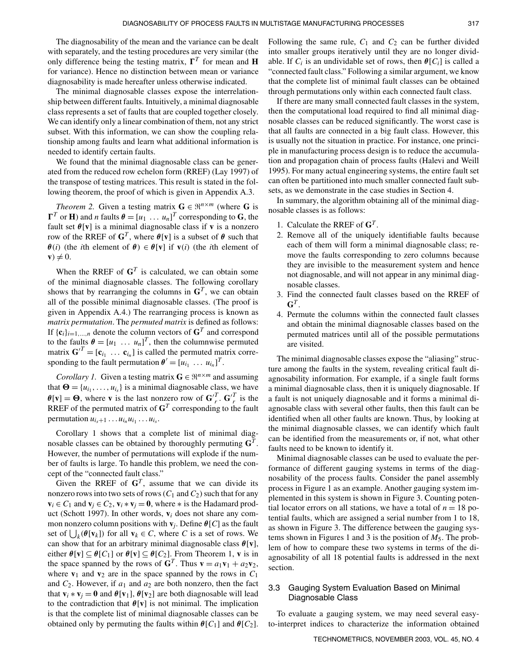The diagnosability of the mean and the variance can be dealt with separately, and the testing procedures are very similar (the only difference being the testing matrix,  $\mathbf{\Gamma}^T$  for mean and **H** for variance). Hence no distinction between mean or variance diagnosability is made hereafter unless otherwise indicated.

The minimal diagnosable classes expose the interrelationship between different faults. Intuitively, a minimal diagnosable class represents a set of faults that are coupled together closely. We can identify only a linear combination of them, not any strict subset. With this information, we can show the coupling relationship among faults and learn what additional information is needed to identify certain faults.

We found that the minimal diagnosable class can be generated from the reduced row echelon form (RREF) (Lay 1997) of the transpose of testing matrices. This result is stated in the following theorem, the proof of which is given in Appendix A.3.

*Theorem 2.* Given a testing matrix  $\mathbf{G} \in \mathbb{R}^{n \times m}$  (where G is  $\Gamma^T$  or **H**) and *n* faults  $\boldsymbol{\theta} = [u_1 \dots u_n]^T$  corresponding to **G**, the fault set  $\theta[v]$  is a minimal diagnosable class if **v** is a nonzero row of the RREF of  $G<sup>T</sup>$ , where  $\theta[v]$  is a subset of  $\theta$  such that *θ*(*i*) (the *i*th element of *θ*) ∈ *θ*[**v**] if **v**(*i*) (the *i*th element of  $\mathbf{v}) \neq 0.$ 

When the RREF of  $G<sup>T</sup>$  is calculated, we can obtain some of the minimal diagnosable classes. The following corollary shows that by rearranging the columns in  $G<sup>T</sup>$ , we can obtain all of the possible minimal diagnosable classes. (The proof is given in Appendix A.4.) The rearranging process is known as *matrix permutation*. The *permuted matrix* is defined as follows: If  ${\bf c}_i\}_{i=1,\dots,n}$  denote the column vectors of  ${\bf G}^T$  and correspond to the faults  $\boldsymbol{\theta} = [u_1 \dots u_n]^T$ , then the columnwise permuted matrix  $G^{T} = [\mathbf{c}_{i_1} \dots \mathbf{c}_{i_n}]$  is called the permuted matrix corresponding to the fault permutation  $\boldsymbol{\theta}' = [u_{i_1} \dots u_{i_n}]^T$ .

*Corollary 1.* Given a testing matrix  $\mathbf{G} \in \mathbb{R}^{n \times m}$  and assuming that  $\mathbf{\Theta} = \{u_{i_1}, \ldots, u_{i_s}\}$  is a minimal diagnosable class, we have  $\theta[\mathbf{v}] = \mathbf{\Theta}$ , where **v** is the last nonzero row of  $\mathbf{G}'^T$ .  $\mathbf{G}'^T$  is the RREF of the permuted matrix of  $G<sup>T</sup>$  corresponding to the fault permutation  $u_{i_s+1} \ldots u_{i_n} u_{i_1} \ldots u_{i_s}$ .

Corollary 1 shows that a complete list of minimal diagnosable classes can be obtained by thoroughly permuting **G***<sup>T</sup>* . However, the number of permutations will explode if the number of faults is large. To handle this problem, we need the concept of the "connected fault class."

Given the RREF of  $G<sup>T</sup>$ , assume that we can divide its nonzero rows into two sets of rows  $(C_1 \text{ and } C_2)$  such that for any  **and**  $**v**<sub>i</sub> ∈ C<sub>2</sub>, **v**<sub>i</sub> * **v**<sub>i</sub> = **0**, where  $*$  is the Hadamard prod$ uct (Schott 1997). In other words,  $v_i$  does not share any common nonzero column positions with  $\mathbf{v}_i$ . Define  $\theta[C]$  as the fault set of  $\bigcup_{k}(\theta[\mathbf{v}_k])$  for all  $\mathbf{v}_k \in C$ , where *C* is a set of rows. We can show that for an arbitrary minimal diagnosable class *θ*[**v**], either  $\theta[v] \subseteq \theta[C_1]$  or  $\theta[v] \subseteq \theta[C_2]$ . From Theorem 1, **v** is in the space spanned by the rows of  $G^T$ . Thus  $\mathbf{v} = a_1 \mathbf{v}_1 + a_2 \mathbf{v}_2$ , where  $\mathbf{v}_1$  and  $\mathbf{v}_2$  are in the space spanned by the rows in  $C_1$ and  $C_2$ . However, if  $a_1$  and  $a_2$  are both nonzero, then the fact that  $\mathbf{v}_i * \mathbf{v}_j = \mathbf{0}$  and  $\theta[\mathbf{v}_1], \theta[\mathbf{v}_2]$  are both diagnosable will lead to the contradiction that  $\theta[v]$  is not minimal. The implication is that the complete list of minimal diagnosable classes can be obtained only by permuting the faults within  $\theta[C_1]$  and  $\theta[C_2]$ .

Following the same rule,  $C_1$  and  $C_2$  can be further divided into smaller groups iteratively until they are no longer dividable. If  $C_i$  is an undividable set of rows, then  $\theta[C_i]$  is called a "connected fault class." Following a similar argument, we know that the complete list of minimal fault classes can be obtained through permutations only within each connected fault class.

If there are many small connected fault classes in the system, then the computational load required to find all minimal diagnosable classes can be reduced significantly. The worst case is that all faults are connected in a big fault class. However, this is usually not the situation in practice. For instance, one principle in manufacturing process design is to reduce the accumulation and propagation chain of process faults (Halevi and Weill 1995). For many actual engineering systems, the entire fault set can often be partitioned into much smaller connected fault subsets, as we demonstrate in the case studies in Section 4.

In summary, the algorithm obtaining all of the minimal diagnosable classes is as follows:

- 1. Calculate the RREF of  $G<sup>T</sup>$ .
- 2. Remove all of the uniquely identifiable faults because each of them will form a minimal diagnosable class; remove the faults corresponding to zero columns because they are invisible to the measurement system and hence not diagnosable, and will not appear in any minimal diagnosable classes.
- 3. Find the connected fault classes based on the RREF of  $G^T$ .
- 4. Permute the columns within the connected fault classes and obtain the minimal diagnosable classes based on the permuted matrices until all of the possible permutations are visited.

The minimal diagnosable classes expose the "aliasing" structure among the faults in the system, revealing critical fault diagnosability information. For example, if a single fault forms a minimal diagnosable class, then it is uniquely diagnosable. If a fault is not uniquely diagnosable and it forms a minimal diagnosable class with several other faults, then this fault can be identified when all other faults are known. Thus, by looking at the minimal diagnosable classes, we can identify which fault can be identified from the measurements or, if not, what other faults need to be known to identify it.

Minimal diagnosable classes can be used to evaluate the performance of different gauging systems in terms of the diagnosability of the process faults. Consider the panel assembly process in Figure 1 as an example. Another gauging system implemented in this system is shown in Figure 3. Counting potential locator errors on all stations, we have a total of  $n = 18$  potential faults, which are assigned a serial number from 1 to 18, as shown in Figure 3. The difference between the gauging systems shown in Figures 1 and 3 is the position of  $M_5$ . The problem of how to compare these two systems in terms of the diagnosability of all 18 potential faults is addressed in the next section.

## 3.3 Gauging System Evaluation Based on Minimal Diagnosable Class

To evaluate a gauging system, we may need several easyto-interpret indices to characterize the information obtained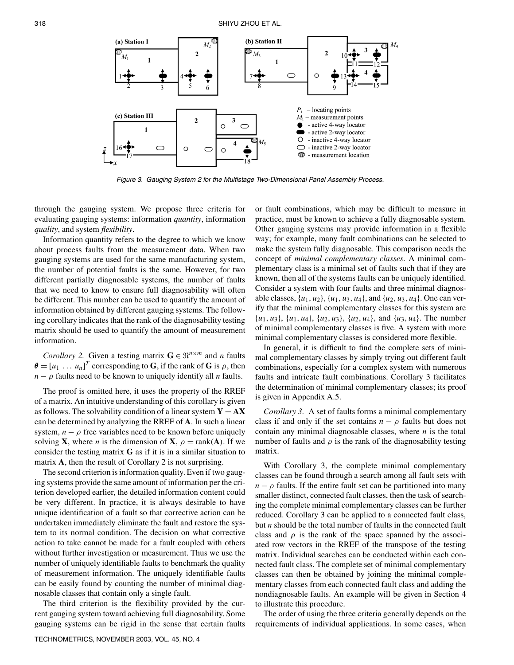

Figure 3. Gauging System 2 for the Multistage Two-Dimensional Panel Assembly Process.

through the gauging system. We propose three criteria for evaluating gauging systems: information *quantity*, information *quality*, and system *flexibility*.

Information quantity refers to the degree to which we know about process faults from the measurement data. When two gauging systems are used for the same manufacturing system, the number of potential faults is the same. However, for two different partially diagnosable systems, the number of faults that we need to know to ensure full diagnosability will often be different. This number can be used to quantify the amount of information obtained by different gauging systems. The following corollary indicates that the rank of the diagnosability testing matrix should be used to quantify the amount of measurement information.

*Corollary 2.* Given a testing matrix  $\mathbf{G} \in \mathbb{R}^{n \times m}$  and *n* faults  $\theta = [u_1 \dots u_n]^T$  corresponding to **G**, if the rank of **G** is  $\rho$ , then  $n - \rho$  faults need to be known to uniquely identify all *n* faults.

The proof is omitted here, it uses the property of the RREF of a matrix. An intuitive understanding of this corollary is given as follows. The solvability condition of a linear system  $Y = AX$ can be determined by analyzing the RREF of **A**. In such a linear system,  $n - \rho$  free variables need to be known before uniquely solving **X**, where *n* is the dimension of **X**,  $\rho = \text{rank}(A)$ . If we consider the testing matrix **G** as if it is in a similar situation to matrix **A**, then the result of Corollary 2 is not surprising.

The second criterion is information quality. Even if two gauging systems provide the same amount of information per the criterion developed earlier, the detailed information content could be very different. In practice, it is always desirable to have unique identification of a fault so that corrective action can be undertaken immediately eliminate the fault and restore the system to its normal condition. The decision on what corrective action to take cannot be made for a fault coupled with others without further investigation or measurement. Thus we use the number of uniquely identifiable faults to benchmark the quality of measurement information. The uniquely identifiable faults can be easily found by counting the number of minimal diagnosable classes that contain only a single fault.

The third criterion is the flexibility provided by the current gauging system toward achieving full diagnosability. Some gauging systems can be rigid in the sense that certain faults or fault combinations, which may be difficult to measure in practice, must be known to achieve a fully diagnosable system. Other gauging systems may provide information in a flexible way; for example, many fault combinations can be selected to make the system fully diagnosable. This comparison needs the concept of *minimal complementary classes*. A minimal complementary class is a minimal set of faults such that if they are known, then all of the systems faults can be uniquely identified. Consider a system with four faults and three minimal diagnosable classes,  $\{u_1, u_2\}$ ,  $\{u_1, u_3, u_4\}$ , and  $\{u_2, u_3, u_4\}$ . One can verify that the minimal complementary classes for this system are {*u*1*, u*3}, {*u*1*, u*4}, {*u*2*, u*3}, {*u*2*, u*4}, and {*u*3*, u*4}. The number of minimal complementary classes is five. A system with more minimal complementary classes is considered more flexible.

In general, it is difficult to find the complete sets of minimal complementary classes by simply trying out different fault combinations, especially for a complex system with numerous faults and intricate fault combinations. Corollary 3 facilitates the determination of minimal complementary classes; its proof is given in Appendix A.5.

*Corollary 3.* A set of faults forms a minimal complementary class if and only if the set contains  $n - \rho$  faults but does not contain any minimal diagnosable classes, where *n* is the total number of faults and  $\rho$  is the rank of the diagnosability testing matrix.

With Corollary 3, the complete minimal complementary classes can be found through a search among all fault sets with  $n - \rho$  faults. If the entire fault set can be partitioned into many smaller distinct, connected fault classes, then the task of searching the complete minimal complementary classes can be further reduced. Corollary 3 can be applied to a connected fault class, but *n* should be the total number of faults in the connected fault class and  $\rho$  is the rank of the space spanned by the associated row vectors in the RREF of the transpose of the testing matrix. Individual searches can be conducted within each connected fault class. The complete set of minimal complementary classes can then be obtained by joining the minimal complementary classes from each connected fault class and adding the nondiagnosable faults. An example will be given in Section 4 to illustrate this procedure.

The order of using the three criteria generally depends on the requirements of individual applications. In some cases, when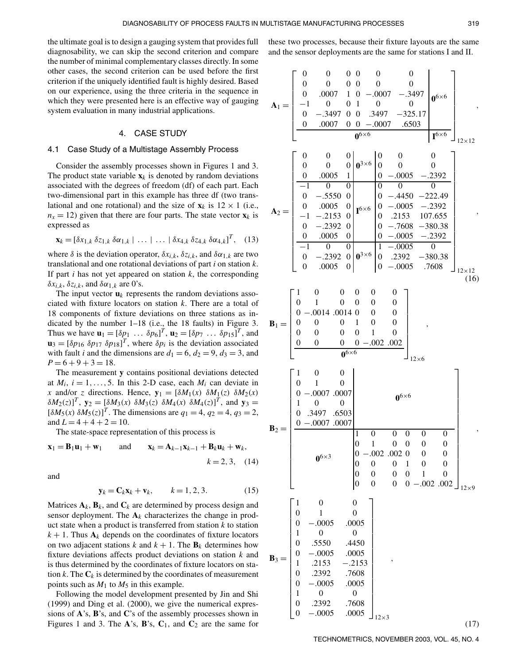the ultimate goal is to design a gauging system that provides full diagnosability, we can skip the second criterion and compare the number of minimal complementary classes directly. In some other cases, the second criterion can be used before the first criterion if the uniquely identified fault is highly desired. Based on our experience, using the three criteria in the sequence in which they were presented here is an effective way of gauging system evaluation in many industrial applications.

## 4. CASE STUDY

# 4.1 Case Study of a Multistage Assembly Process

Consider the assembly processes shown in Figures 1 and 3. The product state variable  $\mathbf{x}_k$  is denoted by random deviations associated with the degrees of freedom (df) of each part. Each two-dimensional part in this example has three df (two translational and one rotational) and the size of  $\mathbf{x}_k$  is  $12 \times 1$  (i.e.,  $n_x = 12$ ) given that there are four parts. The state vector  $\mathbf{x}_k$  is expressed as

$$
\mathbf{x}_{k} = [\delta x_{1,k} \ \delta z_{1,k} \ \delta \alpha_{1,k} \ | \ \ldots \ | \ \ldots \ | \ \delta x_{4,k} \ \delta z_{4,k} \ \delta \alpha_{4,k}]^{T}, \quad (13)
$$

where  $\delta$  is the deviation operator,  $\delta x_{i,k}$ ,  $\delta z_{i,k}$ , and  $\delta \alpha_{1,k}$  are two translational and one rotational deviations of part *i* on station *k*. If part *i* has not yet appeared on station *k*, the corresponding *δx<sub>i</sub>*,*k*, *δz<sub>i</sub>*,*k*, and *δα*<sub>1</sub>,*k* are 0's.

The input vector  $\mathbf{u}_k$  represents the random deviations associated with fixture locators on station *k*. There are a total of 18 components of fixture deviations on three stations as indicated by the number 1–18 (i.e., the 18 faults) in Figure 3. Thus we have  $\mathbf{u}_1 = [\delta p_1 \dots \delta p_6]^T$ ,  $\mathbf{u}_2 = [\delta p_7 \dots \delta p_{15}]^T$ , and  $\mathbf{u}_3 = [\delta p_{16} \ \delta p_{17} \ \delta p_{18}]^T$ , where  $\delta p_i$  is the deviation associated with fault *i* and the dimensions are  $d_1 = 6$ ,  $d_2 = 9$ ,  $d_3 = 3$ , and  $P = 6 + 9 + 3 = 18.$ 

The measurement **y** contains positional deviations detected at  $M_i$ ,  $i = 1, \ldots, 5$ . In this 2-D case, each  $M_i$  can deviate in *x* and/or *z* directions. Hence,  $y_1 = [\delta M_1(x) \delta M_1(z) \delta M_2(x)]$  $\delta M_2(z)$ ]<sup>T</sup>,  $\mathbf{y}_2 = [\delta M_3(x) \ \delta M_3(z) \ \delta M_4(x) \ \delta M_4(z)]^T$ , and  $\mathbf{y}_3 =$  $[\delta M_5(x) \ \delta M_5(z)]^T$ . The dimensions are  $q_1 = 4$ ,  $q_2 = 4$ ,  $q_3 = 2$ , and  $L = 4 + 4 + 2 = 10$ .

The state-space representation of this process is

$$
\mathbf{x}_1 = \mathbf{B}_1 \mathbf{u}_1 + \mathbf{w}_1
$$
 and  $\mathbf{x}_k = \mathbf{A}_{k-1} \mathbf{x}_{k-1} + \mathbf{B}_k \mathbf{u}_k + \mathbf{w}_k,$   
\n $k = 2, 3,$  (14)

and

$$
\mathbf{y}_k = \mathbf{C}_k \mathbf{x}_k + \mathbf{v}_k, \qquad k = 1, 2, 3. \tag{15}
$$

Matrices  $A_k$ ,  $B_k$ , and  $C_k$  are determined by process design and sensor deployment. The  $A_k$  characterizes the change in product state when a product is transferred from station *k* to station  $k + 1$ . Thus  $A_k$  depends on the coordinates of fixture locators on two adjacent stations *k* and  $k + 1$ . The **B**<sub>*k*</sub> determines how fixture deviations affects product deviations on station *k* and is thus determined by the coordinates of fixture locators on station  $k$ . The  $C_k$  is determined by the coordinates of measurement points such as  $M_1$  to  $M_5$  in this example.

Following the model development presented by Jin and Shi (1999) and Ding et al. (2000), we give the numerical expressions of **A**'s, **B**'s, and **C**'s of the assembly processes shown in Figures 1 and 3. The **A**'s, **B**'s, **C**1, and **C**<sup>2</sup> are the same for

these two processes, because their fixture layouts are the same and the sensor deployments are the same for stations I and II.

$$
A_1 = \begin{bmatrix} 0 & 0 & 0 & 0 & 0 & 0 \\ 0 & 0.007 & 1 & 0 & 0.007 & -3497 \\ 0 & 0.1 & 0 & 0.1 & 0 & 0 \\ 0 & -3.497 & 0 & 0 & 3497 & -325.17 \\ 0 & 0.007 & 0 & 0 & -0.007 & 0.6503 \\ \hline 0 & 0.007 & 0 & 0 & 0.007 & 0.6503 \\ \hline 0 & 0 & 0 & 0 & 0 & 0 & 0 \\ 0 & 0 & 0 & 0 & 0 & 0 & 0 & 0 \\ 0 & 0.0005 & 1 & 0 & -0.005 & -2392 \\ \hline 1 & 0 & -0.550 & 0 & 0 & -4450 & -222.49 \\ 0 & -0.005 & 0 & 0 & -4450 & -222.49 \\ 0 & -0.005 & 0 & 0 & -4450 & -222.49 \\ \hline 1 & -0.005 & 0 & 0 & -0.005 & -3392 \\ \hline 0 & -0.005 & 0 & 0 & -0.005 & -2392 \\ \hline 1 & 0 & 0 & 0 & 1 & -0.005 & 0.392 \\ \hline 0 & -0.005 & 0 & 0 & 1 & -0.005 & 0.7608 \\ \hline 0 & 0.005 & 0 & 0 & 1 & 0 & 0 \\ 0 & 0 & 0 & 0 & 1 & 0 & 0 \\ 0 & 0 & 0 & 0 & 1 & 0 & 0 \\ 0 & 0 & 0 & 0 & 0 & 0 & 0 \\ \hline 0 & 0 & 0 & 0 & 0 & 0 & 0 \\ 0 & 0 & 0 & 0 & 0 & 0 & 0 \\ 0 & 0 & 0 & 0 & 0 & 0 & 0 \\ 0 & 0 & 0 & 0 & 0 & 0 & 0 \\ 0 & 0 & 0 & 0 & 0 & 0 & 0 \\ 0 & 0 & 0 & 0 & 0 & 0 & 0 \\ 0 & 0 & 0 & 0 & 0 & 0 & 0 \\ 0 & 0 & 0 & 0 & 0 & 0 & 0 \\ 0 & 0 & 0 & 0 & 0 &
$$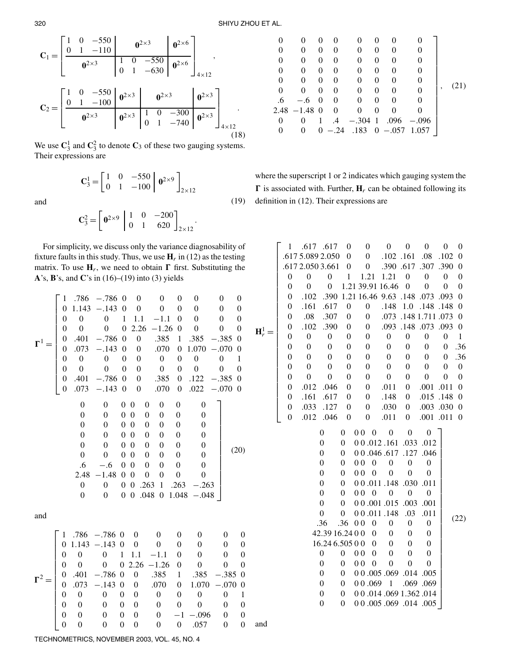320 SHIYU ZHOU ET AL.

$$
\mathbf{C}_{1} = \begin{bmatrix} 1 & 0 & -550 & \mathbf{0}^{2\times3} & \mathbf{0}^{2\times6} \\ \frac{0}{\mathbf{0}^{2\times3}} & 1 & 0 & -550 & \mathbf{0}^{2\times6} \\ \hline & \mathbf{0}^{2\times3} & 0 & 1 & -630 & \mathbf{0}^{2\times6} \end{bmatrix}_{4\times12},
$$

$$
\mathbf{C}_{2} = \begin{bmatrix} 1 & 0 & -550 & \mathbf{0}^{2\times3} & \mathbf{0}^{2\times3} \\ \frac{0}{\mathbf{0}^{2\times3}} & \frac{0}{\mathbf{0}^{2\times3}} & \frac{0}{\mathbf{0}^{2\times3}} & \frac{0}{\mathbf{0}^{2\times3}} \\ \hline & 0 & 1 & -740 & \mathbf{0}^{2\times3} \end{bmatrix}_{4\times12},
$$
(18)

We use  $C_3^1$  and  $C_3^2$  to denote  $C_3$  of these two gauging systems. Their expressions are

$$
\mathbf{C}_{3}^{1} = \begin{bmatrix} 1 & 0 & -550 \\ 0 & 1 & -100 \end{bmatrix} \mathbf{0}^{2 \times 9} \Big]_{2 \times 12}
$$
  
and  

$$
\mathbf{C}_{3}^{2} = \begin{bmatrix} \mathbf{0}^{2 \times 9} & \begin{bmatrix} 1 & 0 & -200 \\ 0 & 1 & 620 \end{bmatrix}_{2 \times 12}.
$$
 (19)

For simplicity, we discuss only the variance diagnosability of fixture faults in this study. Thus, we use  $H_r$  in (12) as the testing matrix. To use  $H_r$ , we need to obtain  $\Gamma$  first. Substituting the **A**'s, **B**'s, and **C**'s in (16)–(19) into (3) yields

$$
\mathbf{I}^{1} = \begin{bmatrix}\n1 & .786 & -.786 & 0 & 0 & 0 & 0 & 0 & 0 & 0 \\
0 & 1.143 & -.143 & 0 & 0 & 0 & 0 & 0 & 0 & 0 \\
0 & 0 & 0 & 1 & 1.1 & -1.1 & 0 & 0 & 0 & 0 \\
0 & .401 & -.786 & 0 & 0 & .385 & 1 & .385 & -.385 & 0 \\
0 & .073 & -.143 & 0 & 0 & .070 & 0 & 1.070 & -.070 & 0 \\
0 & 0 & 0 & 0 & 0 & 0 & 0 & 0 & 0 & 0 \\
0 & .401 & -.786 & 0 & 0 & .385 & 0 & .122 & -.385 & 0 \\
0 & .073 & -.143 & 0 & 0 & .070 & 0 & .022 & -.070 & 0 \\
0 & 0 & 0 & 0 & 0 & 0 & 0 & 0 & 0 \\
0 & 0 & 0 & 0 & 0 & 0 & 0 & 0 & 0 \\
0 & 0 & 0 & 0 & 0 & 0 & 0 & 0 & 0 \\
0 & 0 & 0 & 0 & 0 & 0 & 0 & 0 & 0 \\
0 & 0 & 0 & 0 & 0 & 0 & 0 & 0 & 0 \\
0 & 0 & 0 & 0 & 0 & 0 & 0 & 0 & 0 \\
0 & 0 & 0 & 0 & 0 & 0 & 0 & 0 & 0 \\
0 & 0 & 0 & 0 & 0 & 0 & 0 & 0 & 0 \\
0 & 0 & 0 & 0 & 0 & 0 & 0 & 0 & 0 \\
0 & 0 & 0 & 0 & 0 & 0 & 0 & 0 & 0 \\
0 & 0 & 0 & 0 & 0 & 0 & 0 & 0 & 0 \\
0 & 0 & 0 & 0 & 0 & 0 & 0 & 0 & 0 \\
0 & 0 & 0 & 0 & 0 & 0 & 0 & 0 & 0 \\
0 & 0 & 0 & 0 & 0 & 0 & 0 & 0 & 0 & 0 \\
0 & 0 & 0 & 0 & 0 & 0 & 0 & 0 & 0 & 0 \\
0 & 0 & 0 & 0 & 0 & 0 & 0 & 0 & 0 & 0 \\
0 & 0 & 0 & 0 & 0 & 0 & 0 & 0 & 0 & 0 \\
0
$$

|              |          |             | $0 \t1.143 - 14300$                            |          |                    | $\begin{array}{ccc} & & 0 & \quad 0 \end{array}$ |          |              |          |          |     |
|--------------|----------|-------------|------------------------------------------------|----------|--------------------|--------------------------------------------------|----------|--------------|----------|----------|-----|
|              |          | $\Omega$    | $\mathbf{0}$                                   |          |                    | $1 \t1.1 -1.1 0$                                 |          | $\Omega$     | $\Omega$ | $\theta$ |     |
|              |          | $0 \quad 0$ |                                                |          |                    | $0 \t 0 \t 2.26 \t -1.26 \t 0$                   |          | $\Omega$     | $\Omega$ | $\Omega$ |     |
| $\Gamma^2 =$ |          |             | $0.401 - .786000$ .385 1 .385 - .385 0         |          |                    |                                                  |          |              |          |          |     |
|              | $\Omega$ | 073         | $-.143 \t0 \t0 \t.070 \t0 \t1.070 \t-.070 \t0$ |          |                    |                                                  |          |              |          |          |     |
|              | $\Omega$ | $\theta$    | $\Omega$                                       | $\theta$ | $\hspace{0.6cm} 0$ | $\overline{\mathbf{0}}$                          | $\theta$ | $\theta$     | $\theta$ |          |     |
|              | $\theta$ | $\theta$    | $\left($                                       | $\theta$ | $\Omega$           | $\overline{0}$                                   | $\Omega$ | $\Omega$     | $\Omega$ | $\theta$ |     |
|              |          | 0           | $\theta$                                       | $\Omega$ | $\theta$           | $\mathbf{0}$                                     |          | $-1$ $-.096$ | - 0      | $\Omega$ |     |
|              |          |             |                                                |          |                    | $\Omega$                                         | $\theta$ | .057         |          |          | and |

|    |                 | 0        |     |            | $\Omega$ |          |       |     |
|----|-----------------|----------|-----|------------|----------|----------|-------|-----|
| 0  |                 | 0        | 0   | 0          | 0        |          |       |     |
| 0  | 0               | 0        | 0   | 0          | 0        |          |       |     |
| 0  | 0               | 0        | 0   | 0          | 0        | $\theta$ |       |     |
| 0  | 0               | 0        | 0   | 0          | 0        | $\theta$ |       |     |
| 0  | 0               | 0        | 0   | 0          | 0        | $\theta$ |       | 21) |
| .6 | $-.6$           | $\theta$ | 0   | 0          | 0        | $\theta$ |       |     |
|    | $2.48 - 1.48$ 0 |          | 0   | 0          | 0        | $\theta$ |       |     |
| 0  |                 | 1        | .4  | $-.304$ 1  |          | .096     | -.096 |     |
| 0  |                 |          | .24 | $.183 \ 0$ |          | $-.057$  | 1.057 |     |

where the superscript 1 or 2 indicates which gauging system the  $\Gamma$  is associated with. Further,  $\mathbf{H}_r$  can be obtained following its definition in (12). Their expressions are

| $\mathbf{1}$     |                  | .617 .617        | $\boldsymbol{0}$ | $\boldsymbol{0}$                   | $\boldsymbol{0}$ | $\boldsymbol{0}$ | 0                | $\boldsymbol{0}$ | $\overline{0}$   |
|------------------|------------------|------------------|------------------|------------------------------------|------------------|------------------|------------------|------------------|------------------|
|                  | .617 5.089 2.050 |                  | $\boldsymbol{0}$ | $\boldsymbol{0}$                   | .102 .161        |                  | .08              | .102             | $\boldsymbol{0}$ |
|                  | .617 2.050 3.661 |                  | $\boldsymbol{0}$ | $\boldsymbol{0}$                   | .390 .617        |                  | .307             | .390             | $\overline{0}$   |
| $\boldsymbol{0}$ | $\overline{0}$   | $\boldsymbol{0}$ | $\,1$            | 1.21                               | 1.21             | $\mathbf{0}$     | $\boldsymbol{0}$ | $\boldsymbol{0}$ | 0                |
| 0                | $\overline{0}$   | $\boldsymbol{0}$ |                  | 1.21 39.91                         | 16.46            | $\boldsymbol{0}$ | $\overline{0}$   | $\mathbf{0}$     | $\overline{0}$   |
| 0                | .102             | .390             |                  | 1.21 16.46 9.63 .148               |                  |                  | .073             | .093             | $\overline{0}$   |
| 0                | .161             | .617             | $\boldsymbol{0}$ | $\boldsymbol{0}$                   | .148             | 1.0              | .148             | .148             | $\boldsymbol{0}$ |
| $\overline{0}$   | .08              | .307             | $\boldsymbol{0}$ | $\boldsymbol{0}$                   | .073             |                  | .148 1.711 .073  |                  | $\boldsymbol{0}$ |
| $\overline{0}$   | .102             | .390             | $\boldsymbol{0}$ | $\boldsymbol{0}$                   | .093             | .148             | .073             | .093             | $\boldsymbol{0}$ |
| 0                | $\boldsymbol{0}$ | $\boldsymbol{0}$ | $\boldsymbol{0}$ | $\boldsymbol{0}$                   | $\boldsymbol{0}$ | $\boldsymbol{0}$ | $\boldsymbol{0}$ | 0                | $\mathbf{1}$     |
| 0                | $\overline{0}$   | $\overline{0}$   | $\boldsymbol{0}$ | $\boldsymbol{0}$                   | $\overline{0}$   | $\boldsymbol{0}$ | $\overline{0}$   | 0                | .36              |
| $\overline{0}$   | $\overline{0}$   | $\overline{0}$   | $\overline{0}$   | $\boldsymbol{0}$                   | $\overline{0}$   | $\boldsymbol{0}$ | $\overline{0}$   | $\theta$         | .36              |
| $\overline{0}$   | $\boldsymbol{0}$ | $\overline{0}$   | $\overline{0}$   | $\boldsymbol{0}$                   | $\mathbf{0}$     | $\overline{0}$   | $\overline{0}$   | $\overline{0}$   | $\boldsymbol{0}$ |
| 0                | $\boldsymbol{0}$ | $\mathbf{0}$     | $\overline{0}$   | $\boldsymbol{0}$                   | $\mathbf{0}$     | $\overline{0}$   | $\overline{0}$   | $\overline{0}$   | $\overline{0}$   |
| 0                | .012             | .046             | $\boldsymbol{0}$ | $\boldsymbol{0}$                   | .011             | $\boldsymbol{0}$ | .001             | .011             | $\boldsymbol{0}$ |
| 0                | .161             | .617             | $\boldsymbol{0}$ | $\boldsymbol{0}$                   | .148             | $\boldsymbol{0}$ | .015 .148        |                  | $\boldsymbol{0}$ |
| 0                | .033             | .127             | $\boldsymbol{0}$ | $\boldsymbol{0}$                   | .030             | $\boldsymbol{0}$ | .003 .030        |                  | $\boldsymbol{0}$ |
| 0                | .012             | .046             | $\boldsymbol{0}$ | $\boldsymbol{0}$                   | .011             | $\boldsymbol{0}$ | .001 .011        |                  | $\boldsymbol{0}$ |
|                  |                  | $\boldsymbol{0}$ | $\boldsymbol{0}$ | 000                                | $\boldsymbol{0}$ | $\boldsymbol{0}$ | $\overline{0}$   |                  |                  |
|                  |                  | $\boldsymbol{0}$ | $\boldsymbol{0}$ | 00.012.161                         |                  |                  | .033 .012        |                  |                  |
|                  |                  | $\boldsymbol{0}$ | $\overline{0}$   | 00.046.617                         |                  | .127             | .046             |                  |                  |
|                  |                  | $\boldsymbol{0}$ | $\boldsymbol{0}$ | 0 <sub>0</sub><br>$\boldsymbol{0}$ | $\boldsymbol{0}$ | $\boldsymbol{0}$ | $\boldsymbol{0}$ |                  |                  |
|                  |                  | $\boldsymbol{0}$ | $\boldsymbol{0}$ | 0 <sub>0</sub><br>$\overline{0}$   | $\boldsymbol{0}$ | $\overline{0}$   | $\theta$         |                  |                  |
|                  |                  | $\mathbf{0}$     | $\overline{0}$   | 00.011.148                         |                  | .030             | .011             |                  |                  |
|                  |                  | $\mathbf{0}$     | $\overline{0}$   | 0 <sub>0</sub><br>$\theta$         | $\boldsymbol{0}$ | 0                | 0                |                  |                  |
|                  |                  | $\mathbf{0}$     | $\overline{0}$   | 00.001.015                         |                  | .003             | .001             |                  |                  |
|                  |                  | $\boldsymbol{0}$ | $\boldsymbol{0}$ | 00.011.148                         |                  | .03              | .011             |                  | (22)             |
|                  |                  | .36              | .36              | 0 <sub>0</sub><br>$\boldsymbol{0}$ | 0                | $\boldsymbol{0}$ | $\boldsymbol{0}$ |                  |                  |
|                  |                  | 42.39 16.24 00   |                  | $\mathbf{0}$                       | $\boldsymbol{0}$ | $\overline{0}$   | $\boldsymbol{0}$ |                  |                  |
|                  |                  | 16.24 6.505 0 0  |                  | $\overline{0}$                     | $\overline{0}$   | $\overline{0}$   | $\boldsymbol{0}$ |                  |                  |
|                  |                  | $\boldsymbol{0}$ | $\boldsymbol{0}$ | 0 <sub>0</sub><br>0                | 0                | $\overline{0}$   | $\boldsymbol{0}$ |                  |                  |
|                  |                  | $\mathbf{0}$     | $\overline{0}$   | 0 <sub>0</sub><br>$\boldsymbol{0}$ | $\boldsymbol{0}$ | 0                | $\boldsymbol{0}$ |                  |                  |
|                  |                  | $\mathbf{0}$     | $\overline{0}$   | 0 0.005 .069                       |                  |                  | .014 .005        |                  |                  |
|                  |                  | $\mathbf{0}$     | $\overline{0}$   | 00.069                             | $\overline{1}$   |                  | .069.069         |                  |                  |
|                  |                  | $\boldsymbol{0}$ | $\boldsymbol{0}$ | 0 0 .014 .069 1.362 .014           |                  |                  |                  |                  |                  |
|                  |                  | $\overline{0}$   | $\boldsymbol{0}$ | 0 0.005 .069 .014 .005             |                  |                  |                  |                  |                  |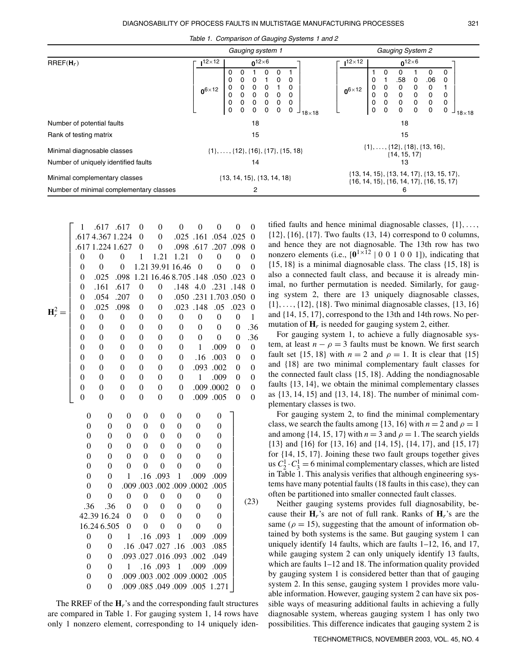|                                                                     | Gauging system 1                                                                                                                                                                           | Gauging System 2                                                                                                                                                                                                                                                                                    |  |  |  |
|---------------------------------------------------------------------|--------------------------------------------------------------------------------------------------------------------------------------------------------------------------------------------|-----------------------------------------------------------------------------------------------------------------------------------------------------------------------------------------------------------------------------------------------------------------------------------------------------|--|--|--|
| $RREF(H_r)$                                                         | $12\times12$<br>$n^{12\times6}$                                                                                                                                                            | $\Gamma$ 12×12<br>$n^{12\times 6}$                                                                                                                                                                                                                                                                  |  |  |  |
|                                                                     | 0<br>0<br>0<br>0<br>0<br>0<br>$0^{6\times12}$<br>0<br>0<br>0<br>0<br>$\mathbf 0$<br>$\mathbf 0$<br>$\mathbf 0$<br>0<br>0<br>$\mathbf 0$<br>$\mathbf 0$<br>0<br>0<br>0<br>0<br>$18\times18$ | 0<br>0<br>0<br>.58<br>0<br>0<br>.06<br>0<br>$\begin{matrix} 0 \\ 0 \end{matrix}$<br>0<br>0<br>0<br>$0^{6\times12}$<br>$\mathbf 0$<br>$\mathsf 0$<br>$\overline{0}$<br>0<br>$\mathbf 0$<br>$\mathbf 0$<br>$\Omega$<br>$\mathbf 0$<br>0<br>0<br>$\mathbf 0$<br>0<br>0<br>0<br>0<br>0<br>$-18\times18$ |  |  |  |
| Number of potential faults                                          | 18                                                                                                                                                                                         | 18                                                                                                                                                                                                                                                                                                  |  |  |  |
| Rank of testing matrix                                              | 15                                                                                                                                                                                         | 15                                                                                                                                                                                                                                                                                                  |  |  |  |
| Minimal diagnosable classes<br>Number of uniquely identified faults | $\{1\}, \ldots, \{12\}, \{16\}, \{17\}, \{15, 18\}$<br>14                                                                                                                                  | $\{1\}, \ldots, \{12\}, \{18\}, \{13, 16\},$<br>$\{14, 15, 17\}$<br>13                                                                                                                                                                                                                              |  |  |  |
| Minimal complementary classes                                       | $\{13, 14, 15\}, \{13, 14, 18\}$                                                                                                                                                           | $\{13, 14, 15\}, \{13, 14, 17\}, \{13, 15, 17\},$<br>$\{16, 14, 15\}, \{16, 14, 17\}, \{16, 15, 17\}$                                                                                                                                                                                               |  |  |  |
| Number of minimal complementary classes                             | 2                                                                                                                                                                                          | 6                                                                                                                                                                                                                                                                                                   |  |  |  |

Table 1. Comparison of Gauging Systems 1 and 2

|           | 1                | .617             | .617             | $\overline{0}$   | $\boldsymbol{0}$      | $\boldsymbol{0}$ | $\overline{0}$   | $\boldsymbol{0}$     | $\overline{0}$   | $\boldsymbol{0}$ |
|-----------|------------------|------------------|------------------|------------------|-----------------------|------------------|------------------|----------------------|------------------|------------------|
|           |                  | .617 4.367 1.224 |                  | $\overline{0}$   | $\boldsymbol{0}$      | .025             | .161             | .054                 | .025             | $\overline{0}$   |
|           |                  | .617 1.224 1.627 |                  | $\overline{0}$   | $\boldsymbol{0}$      | .098             | .617             | .207                 | .098             | $\overline{0}$   |
|           | $\boldsymbol{0}$ | $\boldsymbol{0}$ | $\boldsymbol{0}$ | $\mathbf{1}$     | 1.21                  | 1.21             | $\boldsymbol{0}$ | $\boldsymbol{0}$     | $\boldsymbol{0}$ | $\boldsymbol{0}$ |
|           | $\boldsymbol{0}$ | $\overline{0}$   | $\overline{0}$   |                  | 1.21 39.91 16.46      |                  | $\overline{0}$   | $\boldsymbol{0}$     | $\overline{0}$   | $\boldsymbol{0}$ |
|           | 0                | .025             | .098             |                  | 1.21 16.46 8.705 .148 |                  |                  | .050                 | .023             | $\overline{0}$   |
|           | $\overline{0}$   | .161             | .617             | $\mathbf{0}$     | $\boldsymbol{0}$      | .148             | 4.0              | .231                 | .148             | $\overline{0}$   |
|           | $\boldsymbol{0}$ | .054             | .207             | 0                | $\boldsymbol{0}$      |                  |                  | .050 .231 1.703 .050 |                  | $\boldsymbol{0}$ |
| $H_r^2 =$ | $\overline{0}$   | .025             | .098             | 0                | $\boldsymbol{0}$      | .023             | .148             | .05                  | .023             | $\boldsymbol{0}$ |
|           | $\boldsymbol{0}$ | $\boldsymbol{0}$ | $\boldsymbol{0}$ | 0                | 0                     | $\boldsymbol{0}$ | $\boldsymbol{0}$ | 0                    | $\boldsymbol{0}$ | $\mathbf{1}$     |
|           | $\overline{0}$   | $\boldsymbol{0}$ | $\overline{0}$   | 0                | $\boldsymbol{0}$      | $\overline{0}$   | $\boldsymbol{0}$ | 0                    | $\boldsymbol{0}$ | .36              |
|           | $\overline{0}$   | $\boldsymbol{0}$ | $\boldsymbol{0}$ | 0                | $\boldsymbol{0}$      | 0                | $\boldsymbol{0}$ | $\boldsymbol{0}$     | $\boldsymbol{0}$ | .36              |
|           | $\overline{0}$   | $\boldsymbol{0}$ | $\overline{0}$   | $\boldsymbol{0}$ | $\boldsymbol{0}$      | 0                | $\mathbf{1}$     | .009                 | $\overline{0}$   | $\boldsymbol{0}$ |
|           | $\overline{0}$   | $\mathbf{0}$     | $\overline{0}$   | $\mathbf{0}$     | $\boldsymbol{0}$      | $\overline{0}$   | .16              | .003                 | $\overline{0}$   | $\boldsymbol{0}$ |
|           | $\overline{0}$   | $\overline{0}$   | 0                | $\overline{0}$   | 0                     | $\theta$         | .093             | .002                 | $\overline{0}$   | $\boldsymbol{0}$ |
|           | $\overline{0}$   | $\overline{0}$   | $\overline{0}$   | $\overline{0}$   | $\overline{0}$        | $\theta$         | $\mathbf{1}$     | .009                 | $\overline{0}$   | $\boldsymbol{0}$ |
|           | $\boldsymbol{0}$ | 0                | $\boldsymbol{0}$ | $\boldsymbol{0}$ | $\boldsymbol{0}$      | $\boldsymbol{0}$ |                  | .009.0002            | $\boldsymbol{0}$ | $\boldsymbol{0}$ |
|           | $\overline{0}$   | $\mathbf{0}$     | $\overline{0}$   | $\boldsymbol{0}$ | $\boldsymbol{0}$      | $\boldsymbol{0}$ |                  | .009 .005            | $\boldsymbol{0}$ | $\boldsymbol{0}$ |
|           | $\overline{0}$   | $\boldsymbol{0}$ | $\boldsymbol{0}$ | $\boldsymbol{0}$ | $\boldsymbol{0}$      | 0                | $\boldsymbol{0}$ | $\boldsymbol{0}$     |                  |                  |
|           | $\boldsymbol{0}$ | $\boldsymbol{0}$ | $\boldsymbol{0}$ | $\boldsymbol{0}$ | 0                     | 0                | $\boldsymbol{0}$ | $\boldsymbol{0}$     |                  |                  |
|           | 0                | $\overline{0}$   | $\overline{0}$   | $\overline{0}$   | $\overline{0}$        | $\overline{0}$   | $\overline{0}$   | $\overline{0}$       |                  |                  |
|           | 0                | $\overline{0}$   | $\overline{0}$   | $\overline{0}$   | $\overline{0}$        | $\overline{0}$   | $\overline{0}$   | $\overline{0}$       |                  |                  |
|           | 0                | $\boldsymbol{0}$ | $\overline{0}$   | 0                | $\boldsymbol{0}$      | 0                | $\boldsymbol{0}$ | $\boldsymbol{0}$     |                  |                  |
|           | $\boldsymbol{0}$ | $\boldsymbol{0}$ | $\boldsymbol{0}$ | $\boldsymbol{0}$ | $\boldsymbol{0}$      | $\boldsymbol{0}$ | $\boldsymbol{0}$ | $\boldsymbol{0}$     |                  |                  |
|           | $\boldsymbol{0}$ | $\boldsymbol{0}$ | $\mathbf{1}$     | .16              | .093                  | $\mathbf{1}$     | .009             | .009                 |                  |                  |
|           | $\boldsymbol{0}$ | $\overline{0}$   |                  |                  | .009.003.002.009.0002 |                  |                  | .005                 |                  |                  |
|           | $\overline{0}$   | $\overline{0}$   | $\overline{0}$   | $\overline{0}$   | $\overline{0}$        | $\mathbf{0}$     | $\overline{0}$   | 0                    |                  |                  |
|           | .36              | .36              | $\boldsymbol{0}$ | $\boldsymbol{0}$ | $\boldsymbol{0}$      | $\boldsymbol{0}$ | $\boldsymbol{0}$ | $\boldsymbol{0}$     |                  | (23)             |
|           |                  | 42.39 16.24      | $\boldsymbol{0}$ | $\mathbf{0}$     | $\boldsymbol{0}$      | $\boldsymbol{0}$ | $\mathbf{0}$     | $\boldsymbol{0}$     |                  |                  |
|           |                  | 16.24 6.505      | $\boldsymbol{0}$ | $\overline{0}$   | $\overline{0}$        | 0                | $\theta$         | $\overline{0}$       |                  |                  |
|           | $\overline{0}$   | $\boldsymbol{0}$ | $\mathbf{1}$     |                  | .16 .093              | $\mathbf{1}$     | .009             | .009                 |                  |                  |
|           | $\overline{0}$   | $\boldsymbol{0}$ |                  |                  | .16 .047 .027 .16     |                  | .003             | .085                 |                  |                  |
|           | $\overline{0}$   | $\boldsymbol{0}$ |                  |                  | .093 .027 .016 .093   |                  | .002             | .049                 |                  |                  |
|           | 0                | $\overline{0}$   | $\mathbf{1}$     |                  | .16 .093              | $\mathbf{1}$     | .009             | .009                 |                  |                  |
|           | 0                | $\overline{0}$   |                  |                  | .009.003.002.009.0002 |                  |                  | .005                 |                  |                  |
|           | $\overline{0}$   | $\overline{0}$   |                  |                  | .009.085.049.009.005  |                  |                  | 1.271                |                  |                  |

 $\Gamma$  1

tified faults and hence minimal diagnosable classes, {1}*,...,* {12}*,*{16}*,*{17}. Two faults (13, 14) correspond to 0 columns, and hence they are not diagnosable. The 13th row has two nonzero elements (i.e.,  $[0^{1\times12} \mid 0 \mid 0 \mid 1 \mid 0 \mid 0 \mid 1]$ ), indicating that {15*,* 18} is a minimal diagnosable class. The class {15*,* 18} is also a connected fault class, and because it is already minimal, no further permutation is needed. Similarly, for gauging system 2, there are 13 uniquely diagnosable classes, {1}*,...,*{12}*,*{18}. Two minimal diagnosable classes, {13*,* 16} and {14*,* 15*,* 17}, correspond to the 13th and 14th rows. No permutation of  $H_r$  is needed for gauging system 2, either.

For gauging system 1, to achieve a fully diagnosable system, at least  $n - \rho = 3$  faults must be known. We first search fault set  $\{15, 18\}$  with  $n = 2$  and  $\rho = 1$ . It is clear that  $\{15\}$ and {18} are two minimal complementary fault classes for the connected fault class {15*,* 18}. Adding the nondiagnosable faults {13*,* 14}, we obtain the minimal complementary classes as {13*,* 14*,* 15} and {13*,* 14*,* 18}. The number of minimal complementary classes is two.

For gauging system 2, to find the minimal complementary class, we search the faults among  $\{13, 16\}$  with  $n = 2$  and  $\rho = 1$ and among  $\{14, 15, 17\}$  with  $n = 3$  and  $\rho = 1$ . The search yields {13} and {16} for {13*,* 16} and {14*,* 15}, {14*,* 17}, and {15*,* 17} for {14*,* 15*,* 17}. Joining these two fault groups together gives us  $C_2^1 \cdot C_3^1 = 6$  minimal complementary classes, which are listed in Table 1. This analysis verifies that although engineering systems have many potential faults (18 faults in this case), they can often be partitioned into smaller connected fault classes.

Neither gauging systems provides full diagnosability, because their  $H_r$ 's are not of full rank. Ranks of  $H_r$ 's are the same ( $\rho = 15$ ), suggesting that the amount of information obtained by both systems is the same. But gauging system 1 can uniquely identify 14 faults, which are faults 1–12, 16, and 17, while gauging system 2 can only uniquely identify 13 faults, which are faults 1–12 and 18. The information quality provided by gauging system 1 is considered better than that of gauging system 2. In this sense, gauging system 1 provides more valuable information. However, gauging system 2 can have six possible ways of measuring additional faults in achieving a fully diagnosable system, whereas gauging system 1 has only two possibilities. This difference indicates that gauging system 2 is

The RREF of the  $H_r$ 's and the corresponding fault structures are compared in Table 1. For gauging system 1, 14 rows have only 1 nonzero element, corresponding to 14 uniquely iden-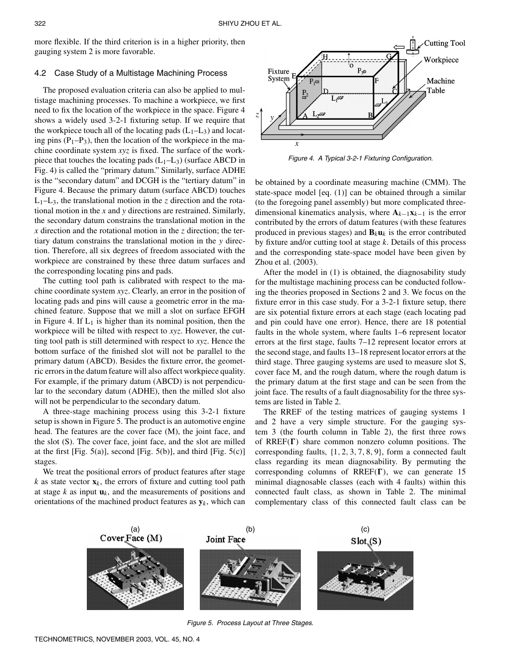more flexible. If the third criterion is in a higher priority, then gauging system 2 is more favorable.

#### 4.2 Case Study of a Multistage Machining Process

The proposed evaluation criteria can also be applied to multistage machining processes. To machine a workpiece, we first need to fix the location of the workpiece in the space. Figure 4 shows a widely used 3-2-1 fixturing setup. If we require that the workpiece touch all of the locating pads  $(L_1-L_3)$  and locating pins  $(P_1-P_3)$ , then the location of the workpiece in the machine coordinate system *xyz* is fixed. The surface of the workpiece that touches the locating pads  $(L_1-L_3)$  (surface ABCD in Fig. 4) is called the "primary datum." Similarly, surface ADHE is the "secondary datum" and DCGH is the "tertiary datum" in Figure 4. Because the primary datum (surface ABCD) touches  $L_1-L_3$ , the translational motion in the *z* direction and the rotational motion in the *x* and *y* directions are restrained. Similarly, the secondary datum constrains the translational motion in the *x* direction and the rotational motion in the *z* direction; the tertiary datum constrains the translational motion in the *y* direction. Therefore, all six degrees of freedom associated with the workpiece are constrained by these three datum surfaces and the corresponding locating pins and pads.

The cutting tool path is calibrated with respect to the machine coordinate system *xyz*. Clearly, an error in the position of locating pads and pins will cause a geometric error in the machined feature. Suppose that we mill a slot on surface EFGH in Figure 4. If  $L_1$  is higher than its nominal position, then the workpiece will be tilted with respect to *xyz*. However, the cutting tool path is still determined with respect to *xyz*. Hence the bottom surface of the finished slot will not be parallel to the primary datum (ABCD). Besides the fixture error, the geometric errors in the datum feature will also affect workpiece quality. For example, if the primary datum (ABCD) is not perpendicular to the secondary datum (ADHE), then the milled slot also will not be perpendicular to the secondary datum.

A three-stage machining process using this 3-2-1 fixture setup is shown in Figure 5. The product is an automotive engine head. The features are the cover face (M), the joint face, and the slot (S). The cover face, joint face, and the slot are milled at the first [Fig. 5(a)], second [Fig. 5(b)], and third [Fig. 5(c)] stages.

We treat the positional errors of product features after stage  $k$  as state vector  $\mathbf{x}_k$ , the errors of fixture and cutting tool path at stage *k* as input **u***k*, and the measurements of positions and orientations of the machined product features as  $y_k$ , which can



Figure 4. A Typical 3-2-1 Fixturing Configuration.

be obtained by a coordinate measuring machine (CMM). The state-space model [eq. (1)] can be obtained through a similar (to the foregoing panel assembly) but more complicated threedimensional kinematics analysis, where  $\mathbf{A}_{k-1}\mathbf{x}_{k-1}$  is the error contributed by the errors of datum features (with these features produced in previous stages) and  $\mathbf{B}_k \mathbf{u}_k$  is the error contributed by fixture and/or cutting tool at stage *k*. Details of this process and the corresponding state-space model have been given by Zhou et al. (2003).

After the model in (1) is obtained, the diagnosability study for the multistage machining process can be conducted following the theories proposed in Sections 2 and 3. We focus on the fixture error in this case study. For a 3-2-1 fixture setup, there are six potential fixture errors at each stage (each locating pad and pin could have one error). Hence, there are 18 potential faults in the whole system, where faults 1–6 represent locator errors at the first stage, faults 7–12 represent locator errors at the second stage, and faults 13–18 represent locator errors at the third stage. Three gauging systems are used to measure slot S, cover face M, and the rough datum, where the rough datum is the primary datum at the first stage and can be seen from the joint face. The results of a fault diagnosability for the three systems are listed in Table 2.

The RREF of the testing matrices of gauging systems 1 and 2 have a very simple structure. For the gauging system 3 (the fourth column in Table 2), the first three rows of RREF*()* share common nonzero column positions. The corresponding faults, {1*,* 2*,* 3*,* 7*,* 8*,* 9}, form a connected fault class regarding its mean diagnosability. By permuting the corresponding columns of  $RREF(\Gamma)$ , we can generate 15 minimal diagnosable classes (each with 4 faults) within this connected fault class, as shown in Table 2. The minimal complementary class of this connected fault class can be



Figure 5. Process Layout at Three Stages.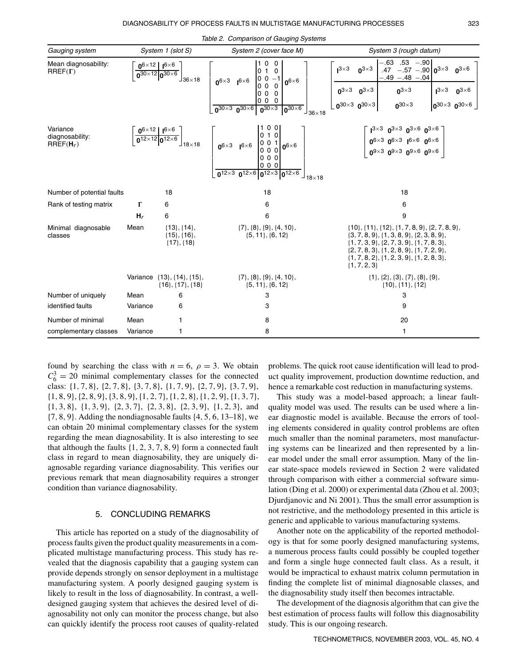| Gauging system                             |          | System 1 (slot S)                                                                      | System 2 (cover face M)                                                                                                                                                                                                                                      | System 3 (rough datum)                                                                                                                                                                                                                                                                                              |
|--------------------------------------------|----------|----------------------------------------------------------------------------------------|--------------------------------------------------------------------------------------------------------------------------------------------------------------------------------------------------------------------------------------------------------------|---------------------------------------------------------------------------------------------------------------------------------------------------------------------------------------------------------------------------------------------------------------------------------------------------------------------|
| Mean diagnosability:<br>$RREF(\Gamma)$     |          | $0^{6\times12}$   $1^{6\times6}$<br>$0^{30\times 12}$ $0^{30\times 6}$<br>$36\times18$ | 0<br>0<br>0 <sub>1</sub><br>$\Omega$<br>$00 -1$<br>$n6\times3$ $16\times6$<br>$n^{6\times 6}$<br>$\Omega$<br>0 <sub>0</sub><br>0 <sub>0</sub><br>$\overline{0}$<br>000<br>$0^{30\times 3} 0^{30\times 6} 0^{30\times 3}$<br>$0^{30\times 6}$<br>$36\times18$ | $-.63$ $.53$ $-.90$<br>$3\times3$<br>$n^{3\times 3}$<br>.47 $-.57 - .90$ 0 <sup>3×3</sup><br>$0^{3\times 6}$<br>$-.49 - .48 - .04$<br>$0^{3\times 3}$<br>$0^{3\times 3}$ $0^{3\times 3}$<br>$0^{3\times 6}$<br>$1^{3\times 3}$<br>$0^{30\times3} 0^{30\times3}$<br>$n^{30\times3}$<br>$0^{30\times3} 0^{30\times6}$ |
| Variance<br>diagnosability:<br>$RREF(H_r)$ |          | $\left[\frac{0^{6\times12}}{0^{12\times12}}\frac{1^{6\times6}}{0^{12\times6}}\right]$  | 010<br>$\begin{array}{cc} 0 & 0 & 1 \\ 0 & 0 & 0 \end{array}$<br>$16\times 6$<br>$0^{6\times 6}$<br>000<br>000<br>$\boxed{0^{12\times 3} 0^{12\times 6} 0^{12\times 3}} 0^{12\times 6}$<br>$18\times18$                                                      | $\left[ \begin{array}{cccc} 1^{3\times 3} & 0^{3\times 3} & 0^{3\times 6} & 0^{3\times 6} \\ 0^{6\times 3} & 0^{6\times 3} & 1^{6\times 6} & 0^{6\times 6} \\ 0^{9\times 3} & 0^{9\times 3} & 0^{9\times 6} & 0^{9\times 6} \end{array} \right]$                                                                    |
| Number of potential faults                 |          | 18                                                                                     | 18                                                                                                                                                                                                                                                           | 18                                                                                                                                                                                                                                                                                                                  |
| Rank of testing matrix                     | г        | 6                                                                                      | 6                                                                                                                                                                                                                                                            | 6                                                                                                                                                                                                                                                                                                                   |
|                                            | $H_r$    | 6                                                                                      | 6                                                                                                                                                                                                                                                            | 9                                                                                                                                                                                                                                                                                                                   |
| Minimal diagnosable<br>classes             | Mean     | $\{13\}, \{14\},\$<br>$\{15\}, \{16\},\$<br>${17}, {18}$                               | $\{7\}, \{8\}, \{9\}, \{4, 10\},$<br>$\{5, 11\}, \{6, 12\}$                                                                                                                                                                                                  | $\{10\}, \{11\}, \{12\}, \{1, 7, 8, 9\}, \{2, 7, 8, 9\},$<br>$\{3, 7, 8, 9\}, \{1, 3, 8, 9\}, \{2, 3, 8, 9\},\$<br>$\{1, 7, 3, 9\}, \{2, 7, 3, 9\}, \{1, 7, 8, 3\},\$<br>$\{2, 7, 8, 3\}, \{1, 2, 8, 9\}, \{1, 7, 2, 9\},\$<br>$\{1, 7, 8, 2\}, \{1, 2, 3, 9\}, \{1, 2, 8, 3\},\$<br>$\{1, 7, 2, 3\}$               |
|                                            |          | Variance {13}, {14}, {15},<br>$\{16\}, \{17\}, \{18\}$                                 | $\{7\}, \{8\}, \{9\}, \{4, 10\},$<br>$\{5, 11\}, \{6, 12\}$                                                                                                                                                                                                  | $\{1\}, \{2\}, \{3\}, \{7\}, \{8\}, \{9\},$<br>$\{10\}, \{11\}, \{12\}$                                                                                                                                                                                                                                             |
| Number of uniquely                         | Mean     | 6                                                                                      | 3                                                                                                                                                                                                                                                            | 3                                                                                                                                                                                                                                                                                                                   |
| identified faults                          | Variance | 6                                                                                      | 3                                                                                                                                                                                                                                                            | 9                                                                                                                                                                                                                                                                                                                   |
| Number of minimal                          | Mean     | 1                                                                                      | 8                                                                                                                                                                                                                                                            | 20                                                                                                                                                                                                                                                                                                                  |
| complementary classes                      | Variance | 1                                                                                      | 8                                                                                                                                                                                                                                                            | 1                                                                                                                                                                                                                                                                                                                   |

Table 2. Comparison of Gauging Systems

found by searching the class with  $n = 6$ ,  $\rho = 3$ . We obtain  $C_6^3 = 20$  minimal complementary classes for the connected class: {1*,* 7*,* 8}, {2*,* 7*,* 8}, {3*,* 7*,* 8}, {1*,* 7*,* 9}, {2*,* 7*,* 9}, {3*,* 7*,* 9}, {1*,* 8*,* 9},{2*,* 8*,* 9},{3*,* 8*,* 9},{1*,* 2*,* 7},{1*,* 2*,* 8},{1*,* 2*,* 9},{1*,* 3*,* 7}, {1*,* 3*,* 8}, {1*,* 3*,* 9}, {2*,* 3*,* 7}, {2*,* 3*,* 8}, {2*,* 3*,* 9}, {1*,* 2*,* 3}, and {7*,* 8*,* 9}. Adding the nondiagnosable faults {4*,* 5*,* 6*,* 13–18}, we can obtain 20 minimal complementary classes for the system regarding the mean diagnosability. It is also interesting to see that although the faults {1*,* 2*,* 3*,* 7*,* 8*,* 9} form a connected fault class in regard to mean diagnosability, they are uniquely diagnosable regarding variance diagnosability. This verifies our previous remark that mean diagnosability requires a stronger condition than variance diagnosability.

#### 5. CONCLUDING REMARKS

This article has reported on a study of the diagnosability of process faults given the product quality measurements in a complicated multistage manufacturing process. This study has revealed that the diagnosis capability that a gauging system can provide depends strongly on sensor deployment in a multistage manufacturing system. A poorly designed gauging system is likely to result in the loss of diagnosability. In contrast, a welldesigned gauging system that achieves the desired level of diagnosability not only can monitor the process change, but also can quickly identify the process root causes of quality-related

problems. The quick root cause identification will lead to product quality improvement, production downtime reduction, and hence a remarkable cost reduction in manufacturing systems.

This study was a model-based approach; a linear faultquality model was used. The results can be used where a linear diagnostic model is available. Because the errors of tooling elements considered in quality control problems are often much smaller than the nominal parameters, most manufacturing systems can be linearized and then represented by a linear model under the small error assumption. Many of the linear state-space models reviewed in Section 2 were validated through comparison with either a commercial software simulation (Ding et al. 2000) or experimental data (Zhou et al. 2003; Djurdjanovic and Ni 2001). Thus the small error assumption is not restrictive, and the methodology presented in this article is generic and applicable to various manufacturing systems.

Another note on the applicability of the reported methodology is that for some poorly designed manufacturing systems, a numerous process faults could possibly be coupled together and form a single huge connected fault class. As a result, it would be impractical to exhaust matrix column permutation in finding the complete list of minimal diagnosable classes, and the diagnosability study itself then becomes intractable.

The development of the diagnosis algorithm that can give the best estimation of process faults will follow this diagnosability study. This is our ongoing research.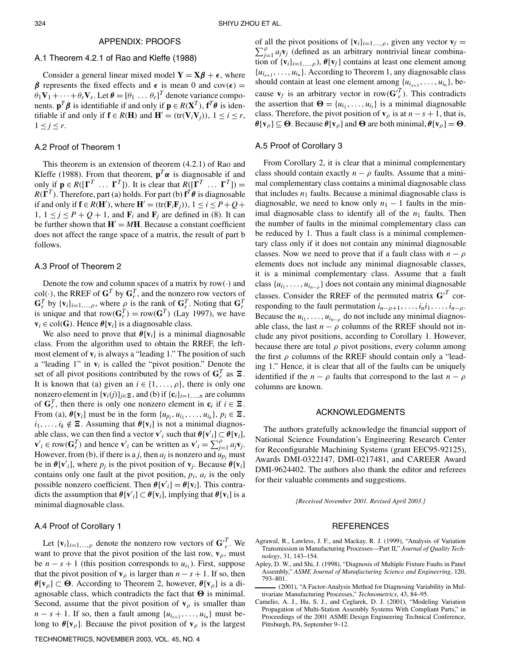# APPENDIX: PROOFS

#### A.1 Theorem 4.2.1 of Rao and Kleffe (1988)

Consider a general linear mixed model  $Y = X\beta + \epsilon$ , where *β* represents the fixed effects and  $\epsilon$  is mean 0 and cov $(\epsilon)$  =  $\theta_1 \mathbf{V}_1 + \cdots + \theta_r \mathbf{V}_r$ . Let  $\boldsymbol{\theta} = [\theta_1 \ \dots \ \theta_r]^T$  denote variance components.  $\mathbf{p}^T\boldsymbol{\beta}$  is identifiable if and only if  $\mathbf{p} \in R(\mathbf{X}^T)$ ,  $\mathbf{f}^T\boldsymbol{\theta}$  is identifiable if and only if  $f \in R(H)$  and  $H' = (tr(V_i V_j))$ ,  $1 \le i \le r$ ,  $1 \leq j \leq r$ .

#### A.2 Proof of Theorem 1

This theorem is an extension of theorem (4.2.1) of Rao and Kleffe (1988). From that theorem,  $p^T\alpha$  is diagnosable if and only if  $\mathbf{p} \in R([\Gamma^T \dots \Gamma^T])$ . It is clear that  $R([\Gamma^T \dots \Gamma^T]) =$  $R(\Gamma^T)$ . Therefore, part (a) holds. For part (b)  $f^T\theta$  is diagnosable if and only if  $f \in R(\mathbf{H}')$ , where  $\mathbf{H}' = (\text{tr}(\mathbf{F}_i \mathbf{F}_j))$ ,  $1 \le i \le P + Q +$ 1,  $1 \le j \le P + Q + 1$ , and  $\mathbf{F}_i$  and  $\mathbf{F}_j$  are defined in (8). It can be further shown that  $H' = MH$ . Because a constant coefficient does not affect the range space of a matrix, the result of part b follows.

#### A.3 Proof of Theorem 2

Denote the row and column spaces of a matrix by row*(*·*)* and col( $\cdot$ ), the RREF of  $G^T$  by  $G^T_r$ , and the nonzero row vectors of  $\mathbf{G}_r^T$  by  $\{v_i\}_{i=1,\dots,\rho}$ , where  $\rho$  is the rank of  $\mathbf{G}_r^T$ . Noting that  $\mathbf{G}_r^T$ is unique and that  $row(G_r^T) = row(G^T)$  (Lay 1997), we have  $\mathbf{v}_i \in \text{col}(\mathbf{G})$ . Hence  $\theta[\mathbf{v}_i]$  is a diagnosable class.

We also need to prove that  $\theta[v_i]$  is a minimal diagnosable class. From the algorithm used to obtain the RREF, the leftmost element of  $v_i$  is always a "leading 1." The position of such a "leading 1" in **v***<sup>i</sup>* is called the "pivot position." Denote the set of all pivot positions contributed by the rows of  $\mathbf{G}_r^T$  as  $\Xi$ . It is known that (a) given an  $i \in \{1, \ldots, \rho\}$ , there is only one nonzero element in  $\{v_i(j)\}_{j \in \Xi}$ , and (b) if  $\{c_i\}_{i=1,\dots,n}$  are columns of  $G_r^T$ , then there is only one nonzero element in  $c_i$  if  $i \in \mathbb{Z}$ . From (a),  $\theta[v_i]$  must be in the form  $\{u_{p_i}, u_{i_1}, \ldots, u_{i_k}\}, p_i \in \Xi$ ,  $i_1, \ldots, i_k \notin \Xi$ . Assuming that  $\theta[v_i]$  is not a minimal diagnosable class, we can then find a vector  $\mathbf{v}'_i$  such that  $\theta[\mathbf{v}'_i] \subset \theta[\mathbf{v}_i]$ ,  $\mathbf{v}'_i \in \text{row}(\mathbf{G}_r^T)$  and hence  $\mathbf{v}'_i$  can be written as  $\mathbf{v}'_i = \sum_{j=1}^{\rho} a_j \mathbf{v}_j$ . However, from (b), if there is a *j*, then  $a_j$  is nonzero and  $u_{p_j}$  must be in  $\theta[\mathbf{v}_i']$ , where  $p_j$  is the pivot position of  $\mathbf{v}_j$ . Because  $\theta[\mathbf{v}_i]$ contains only one fault at the pivot position, *pi*, *ai* is the only possible nonzero coefficient. Then  $\theta[\mathbf{v}_i] = \theta[\mathbf{v}_i]$ . This contradicts the assumption that  $\theta[\mathbf{v}_i] \subset \theta[\mathbf{v}_i]$ , implying that  $\theta[\mathbf{v}_i]$  is a minimal diagnosable class.

# A.4 Proof of Corollary 1

Let  $\{v_i\}_{i=1,\dots,\rho}$  denote the nonzero row vectors of  $G'^T$ . We want to prove that the pivot position of the last row,  $\mathbf{v}_\rho$ , must be  $n - s + 1$  (this position corresponds to  $u_{i_1}$ ). First, suppose that the pivot position of  $\mathbf{v}_\rho$  is larger than  $n - s + 1$ . If so, then  $\theta[\mathbf{v}_o] \subset \Theta$ . According to Theorem 2, however,  $\theta[\mathbf{v}_o]$  is a diagnosable class, which contradicts the fact that  $\Theta$  is minimal. Second, assume that the pivot position of  $\mathbf{v}_\rho$  is smaller than  $n - s + 1$ . If so, then a fault among  $\{u_{i_{s+1}}, \ldots, u_{i_n}\}$  must belong to  $\theta[v_{\rho}]$ . Because the pivot position of  $v_{\rho}$  is the largest

of all the pivot positions of  $\{v_i\}_{i=1,\dots,\rho}$ , given any vector  $v_f = \sum_{i=1}^{\rho} a_i v_i$  (defined as an explicit positivity in positivity linear combines  $\sum_{j=1}^{p} a_j \mathbf{v}_j$  (defined as an arbitrary nontrivial linear combination of  $\{v_i\}_{i=1,\dots,\rho}$ ,  $\theta[v_f]$  contains at least one element among  ${u_{i_{s+1}}, \ldots, u_{i_n}}$ . According to Theorem 1, any diagnosable class should contain at least one element among  $\{u_{i_{s+1}}, \ldots, u_{i_n}\},$  because  $\mathbf{v}_f$  is an arbitrary vector in row $(\mathbf{G}'_r^T)$ . This contradicts the assertion that  $\mathbf{\Theta} = \{u_{i_1}, \ldots, u_{i_s}\}$  is a minimal diagnosable class. Therefore, the pivot position of  $\mathbf{v}_\rho$  is at  $n - s + 1$ , that is,  $\theta[\mathbf{v}_\rho] \subseteq \Theta$ . Because  $\theta[\mathbf{v}_\rho]$  and  $\Theta$  are both minimal,  $\theta[\mathbf{v}_\rho] = \Theta$ .

#### A.5 Proof of Corollary 3

From Corollary 2, it is clear that a minimal complementary class should contain exactly  $n - \rho$  faults. Assume that a minimal complementary class contains a minimal diagnosable class that includes  $n_1$  faults. Because a minimal diagnosable class is diagnosable, we need to know only  $n_1 - 1$  faults in the minimal diagnosable class to identify all of the  $n_1$  faults. Then the number of faults in the minimal complementary class can be reduced by 1. Thus a fault class is a minimal complementary class only if it does not contain any minimal diagnosable classes. Now we need to prove that if a fault class with  $n - \rho$ elements does not include any minimal diagnosable classes, it is a minimal complementary class. Assume that a fault class  $\{u_{i_1}, \ldots, u_{i_{n-\rho}}\}$  does not contain any minimal diagnosable classes. Consider the RREF of the permuted matrix  $G^{T}$  corresponding to the fault permutation  $i_{n-p+1}, \ldots, i_n i_1, \ldots, i_{n-p}$ . Because the  $u_{i_1}, \ldots, u_{i_{n-\rho}}$  do not include any minimal diagnosable class, the last  $n - \rho$  columns of the RREF should not include any pivot positions, according to Corollary 1. However, because there are total  $\rho$  pivot positions, every column among the first  $\rho$  columns of the RREF should contain only a "leading 1." Hence, it is clear that all of the faults can be uniquely identified if the  $n - \rho$  faults that correspond to the last  $n - \rho$ columns are known.

#### ACKNOWLEDGMENTS

The authors gratefully acknowledge the financial support of National Science Foundation's Engineering Research Center for Reconfigurable Machining Systems (grant EEC95-92125), Awards DMI-0322147, DMI-0217481, and CAREER Award DMI-9624402. The authors also thank the editor and referees for their valuable comments and suggestions.

*[Received November 2001. Revised April 2003.]*

#### **REFERENCES**

- Agrawal, R., Lawless, J. F., and Mackay, R. J. (1999), "Analysis of Variation Transmission in Manufacturing Processes—Part II," *Journal of Quality Technology*, 31, 143–154.
- Apley, D. W., and Shi, J. (1998), "Diagnosis of Multiple Fixture Faults in Panel Assembly," *ASME Journal of Manufacturing Science and Engineering*, 120, 793–801.
- (2001), "A Factor-Analysis Method for Diagnosing Variability in Multivariate Manufacturing Processes," *Technometrics*, 43, 84–95.
- Camelio, A. J., Hu, S. J., and Ceglarek, D. J. (2001), "Modeling Variation Propagation of Multi-Station Assembly Systems With Compliant Parts," in Proceedings of the 2001 ASME Design Engineering Technical Conference, Pittsburgh, PA, September 9–12.